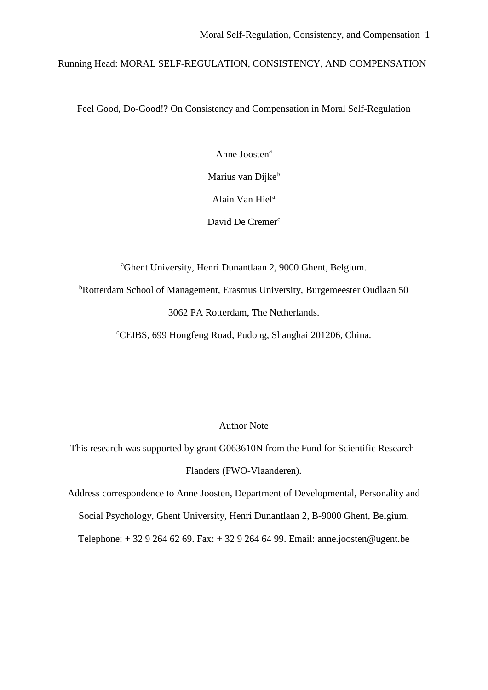Running Head: MORAL SELF-REGULATION, CONSISTENCY, AND COMPENSATION

Feel Good, Do-Good!? On Consistency and Compensation in Moral Self-Regulation

Anne Joosten<sup>a</sup>

Marius van Dijke<sup>b</sup>

Alain Van Hiel<sup>a</sup>

David De Cremer<sup>c</sup>

<sup>a</sup>Ghent University, Henri Dunantlaan 2, 9000 Ghent, Belgium.

<sup>b</sup>Rotterdam School of Management, Erasmus University, Burgemeester Oudlaan 50

3062 PA Rotterdam, The Netherlands.

<sup>c</sup>CEIBS, 699 Hongfeng Road, Pudong, Shanghai 201206, China.

Author Note

This research was supported by grant G063610N from the Fund for Scientific Research-Flanders (FWO-Vlaanderen).

Address correspondence to Anne Joosten, Department of Developmental, Personality and Social Psychology, Ghent University, Henri Dunantlaan 2, B-9000 Ghent, Belgium. Telephone: + 32 9 264 62 69. Fax: + 32 9 264 64 99. Email: anne.joosten@ugent.be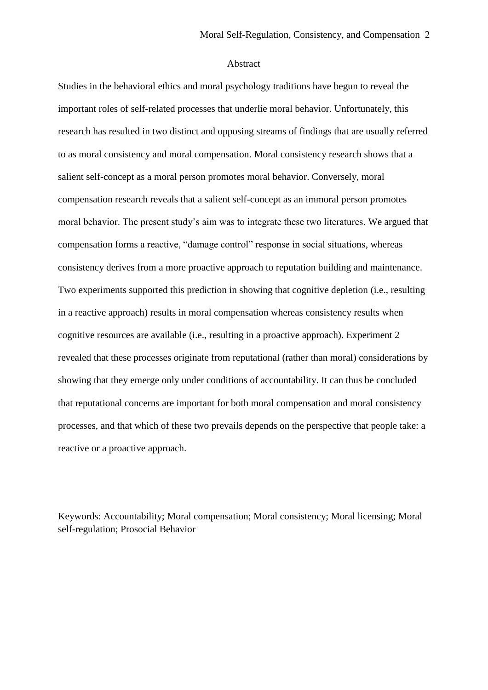#### Abstract

Studies in the behavioral ethics and moral psychology traditions have begun to reveal the important roles of self-related processes that underlie moral behavior. Unfortunately, this research has resulted in two distinct and opposing streams of findings that are usually referred to as moral consistency and moral compensation. Moral consistency research shows that a salient self-concept as a moral person promotes moral behavior. Conversely, moral compensation research reveals that a salient self-concept as an immoral person promotes moral behavior. The present study's aim was to integrate these two literatures. We argued that compensation forms a reactive, "damage control" response in social situations, whereas consistency derives from a more proactive approach to reputation building and maintenance. Two experiments supported this prediction in showing that cognitive depletion (i.e., resulting in a reactive approach) results in moral compensation whereas consistency results when cognitive resources are available (i.e., resulting in a proactive approach). Experiment 2 revealed that these processes originate from reputational (rather than moral) considerations by showing that they emerge only under conditions of accountability. It can thus be concluded that reputational concerns are important for both moral compensation and moral consistency processes, and that which of these two prevails depends on the perspective that people take: a reactive or a proactive approach.

Keywords: Accountability; Moral compensation; Moral consistency; Moral licensing; Moral self-regulation; Prosocial Behavior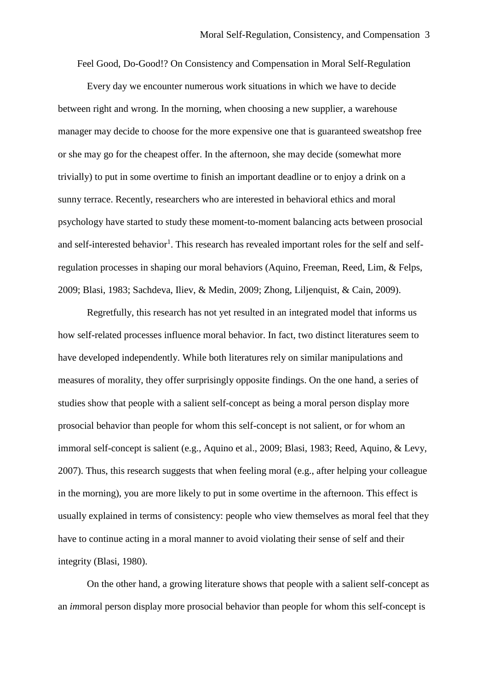Feel Good, Do-Good!? On Consistency and Compensation in Moral Self-Regulation

Every day we encounter numerous work situations in which we have to decide between right and wrong. In the morning, when choosing a new supplier, a warehouse manager may decide to choose for the more expensive one that is guaranteed sweatshop free or she may go for the cheapest offer. In the afternoon, she may decide (somewhat more trivially) to put in some overtime to finish an important deadline or to enjoy a drink on a sunny terrace. Recently, researchers who are interested in behavioral ethics and moral psychology have started to study these moment-to-moment balancing acts between prosocial and self-interested behavior<sup>1</sup>. This research has revealed important roles for the self and selfregulation processes in shaping our moral behaviors (Aquino, Freeman, Reed, Lim, & Felps, 2009; Blasi, 1983; Sachdeva, Iliev, & Medin, 2009; Zhong, Liljenquist, & Cain, 2009).

Regretfully, this research has not yet resulted in an integrated model that informs us how self-related processes influence moral behavior. In fact, two distinct literatures seem to have developed independently. While both literatures rely on similar manipulations and measures of morality, they offer surprisingly opposite findings. On the one hand, a series of studies show that people with a salient self-concept as being a moral person display more prosocial behavior than people for whom this self-concept is not salient, or for whom an immoral self-concept is salient (e.g., Aquino et al., 2009; Blasi, 1983; Reed, Aquino, & Levy, 2007). Thus, this research suggests that when feeling moral (e.g., after helping your colleague in the morning), you are more likely to put in some overtime in the afternoon. This effect is usually explained in terms of consistency: people who view themselves as moral feel that they have to continue acting in a moral manner to avoid violating their sense of self and their integrity (Blasi, 1980).

On the other hand, a growing literature shows that people with a salient self-concept as an *im*moral person display more prosocial behavior than people for whom this self-concept is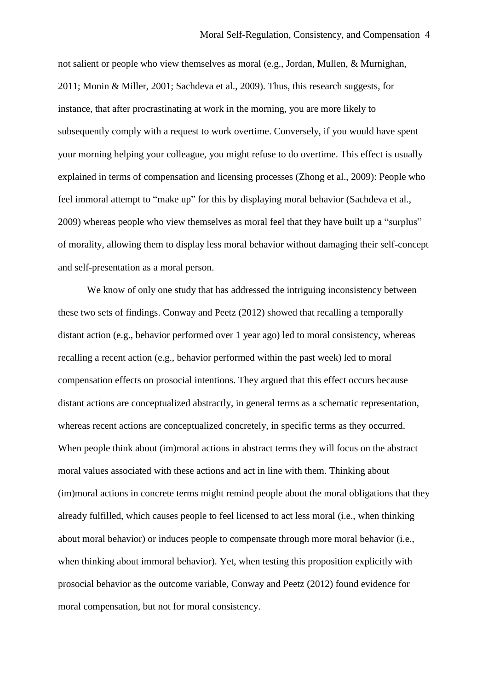not salient or people who view themselves as moral (e.g., Jordan, Mullen, & Murnighan, 2011; Monin & Miller, 2001; Sachdeva et al., 2009). Thus, this research suggests, for instance, that after procrastinating at work in the morning, you are more likely to subsequently comply with a request to work overtime. Conversely, if you would have spent your morning helping your colleague, you might refuse to do overtime. This effect is usually explained in terms of compensation and licensing processes (Zhong et al., 2009): People who feel immoral attempt to "make up" for this by displaying moral behavior (Sachdeva et al., 2009) whereas people who view themselves as moral feel that they have built up a "surplus" of morality, allowing them to display less moral behavior without damaging their self-concept and self-presentation as a moral person.

We know of only one study that has addressed the intriguing inconsistency between these two sets of findings. Conway and Peetz (2012) showed that recalling a temporally distant action (e.g., behavior performed over 1 year ago) led to moral consistency, whereas recalling a recent action (e.g., behavior performed within the past week) led to moral compensation effects on prosocial intentions. They argued that this effect occurs because distant actions are conceptualized abstractly, in general terms as a schematic representation, whereas recent actions are conceptualized concretely, in specific terms as they occurred. When people think about (im)moral actions in abstract terms they will focus on the abstract moral values associated with these actions and act in line with them. Thinking about (im)moral actions in concrete terms might remind people about the moral obligations that they already fulfilled, which causes people to feel licensed to act less moral (i.e., when thinking about moral behavior) or induces people to compensate through more moral behavior (i.e., when thinking about immoral behavior). Yet, when testing this proposition explicitly with prosocial behavior as the outcome variable, Conway and Peetz (2012) found evidence for moral compensation, but not for moral consistency.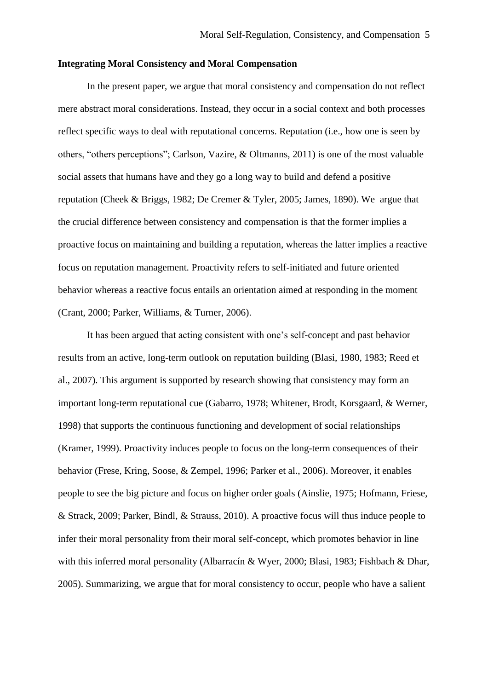## **Integrating Moral Consistency and Moral Compensation**

In the present paper, we argue that moral consistency and compensation do not reflect mere abstract moral considerations. Instead, they occur in a social context and both processes reflect specific ways to deal with reputational concerns. Reputation (i.e., how one is seen by others, "others perceptions"; Carlson, Vazire, & Oltmanns, 2011) is one of the most valuable social assets that humans have and they go a long way to build and defend a positive reputation (Cheek & Briggs, 1982; De Cremer & Tyler, 2005; James, 1890). We argue that the crucial difference between consistency and compensation is that the former implies a proactive focus on maintaining and building a reputation, whereas the latter implies a reactive focus on reputation management. Proactivity refers to self-initiated and future oriented behavior whereas a reactive focus entails an orientation aimed at responding in the moment (Crant, 2000; Parker, Williams, & Turner, 2006).

It has been argued that acting consistent with one's self-concept and past behavior results from an active, long-term outlook on reputation building (Blasi, 1980, 1983; Reed et al., 2007). This argument is supported by research showing that consistency may form an important long-term reputational cue (Gabarro, 1978; Whitener, Brodt, Korsgaard, & Werner, 1998) that supports the continuous functioning and development of social relationships (Kramer, 1999). Proactivity induces people to focus on the long-term consequences of their behavior (Frese, Kring, Soose, & Zempel, 1996; Parker et al., 2006). Moreover, it enables people to see the big picture and focus on higher order goals (Ainslie, 1975; Hofmann, Friese, & Strack, 2009; Parker, Bindl, & Strauss, 2010). A proactive focus will thus induce people to infer their moral personality from their moral self-concept, which promotes behavior in line with this inferred moral personality (Albarracín & Wyer, 2000; Blasi, 1983; Fishbach & Dhar, 2005). Summarizing, we argue that for moral consistency to occur, people who have a salient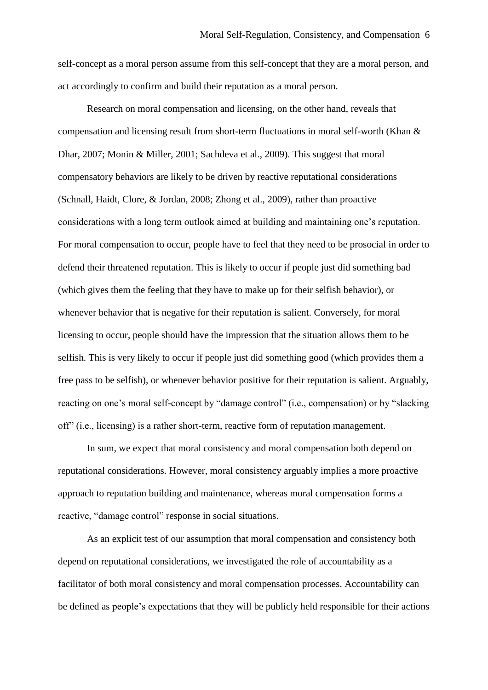self-concept as a moral person assume from this self-concept that they are a moral person, and act accordingly to confirm and build their reputation as a moral person.

Research on moral compensation and licensing, on the other hand, reveals that compensation and licensing result from short-term fluctuations in moral self-worth (Khan & Dhar, 2007; Monin & Miller, 2001; Sachdeva et al., 2009). This suggest that moral compensatory behaviors are likely to be driven by reactive reputational considerations (Schnall, Haidt, Clore, & Jordan, 2008; Zhong et al., 2009), rather than proactive considerations with a long term outlook aimed at building and maintaining one's reputation. For moral compensation to occur, people have to feel that they need to be prosocial in order to defend their threatened reputation. This is likely to occur if people just did something bad (which gives them the feeling that they have to make up for their selfish behavior), or whenever behavior that is negative for their reputation is salient. Conversely, for moral licensing to occur, people should have the impression that the situation allows them to be selfish. This is very likely to occur if people just did something good (which provides them a free pass to be selfish), or whenever behavior positive for their reputation is salient. Arguably, reacting on one's moral self-concept by "damage control" (i.e., compensation) or by "slacking off" (i.e., licensing) is a rather short-term, reactive form of reputation management.

In sum, we expect that moral consistency and moral compensation both depend on reputational considerations. However, moral consistency arguably implies a more proactive approach to reputation building and maintenance, whereas moral compensation forms a reactive, "damage control" response in social situations.

As an explicit test of our assumption that moral compensation and consistency both depend on reputational considerations, we investigated the role of accountability as a facilitator of both moral consistency and moral compensation processes. Accountability can be defined as people's expectations that they will be publicly held responsible for their actions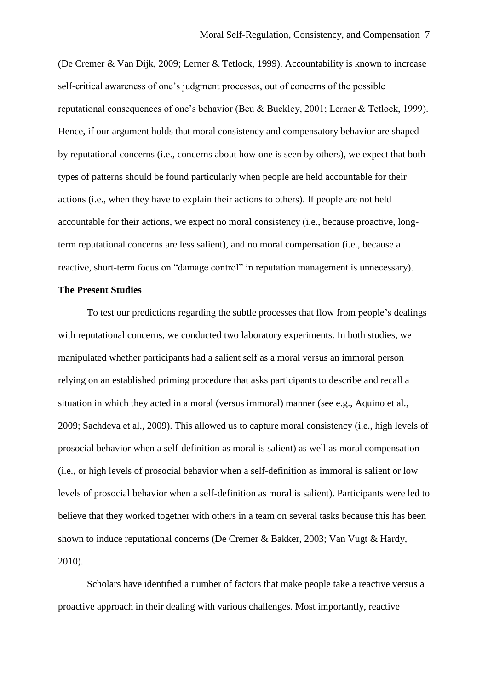(De Cremer & Van Dijk, 2009; Lerner & Tetlock, 1999). Accountability is known to increase self-critical awareness of one's judgment processes, out of concerns of the possible reputational consequences of one's behavior (Beu & Buckley, 2001; Lerner & Tetlock, 1999). Hence, if our argument holds that moral consistency and compensatory behavior are shaped by reputational concerns (i.e., concerns about how one is seen by others), we expect that both types of patterns should be found particularly when people are held accountable for their actions (i.e., when they have to explain their actions to others). If people are not held accountable for their actions, we expect no moral consistency (i.e., because proactive, longterm reputational concerns are less salient), and no moral compensation (i.e., because a reactive, short-term focus on "damage control" in reputation management is unnecessary).

#### **The Present Studies**

To test our predictions regarding the subtle processes that flow from people's dealings with reputational concerns, we conducted two laboratory experiments. In both studies, we manipulated whether participants had a salient self as a moral versus an immoral person relying on an established priming procedure that asks participants to describe and recall a situation in which they acted in a moral (versus immoral) manner (see e.g., Aquino et al., 2009; Sachdeva et al., 2009). This allowed us to capture moral consistency (i.e., high levels of prosocial behavior when a self-definition as moral is salient) as well as moral compensation (i.e., or high levels of prosocial behavior when a self-definition as immoral is salient or low levels of prosocial behavior when a self-definition as moral is salient). Participants were led to believe that they worked together with others in a team on several tasks because this has been shown to induce reputational concerns (De Cremer & Bakker, 2003; Van Vugt & Hardy, 2010).

Scholars have identified a number of factors that make people take a reactive versus a proactive approach in their dealing with various challenges. Most importantly, reactive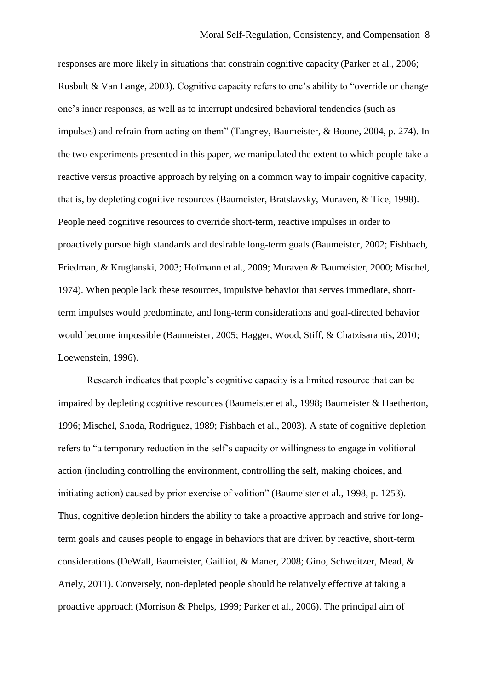responses are more likely in situations that constrain cognitive capacity (Parker et al., 2006; Rusbult & Van Lange, 2003). Cognitive capacity refers to one's ability to "override or change one's inner responses, as well as to interrupt undesired behavioral tendencies (such as impulses) and refrain from acting on them" (Tangney, Baumeister, & Boone, 2004, p. 274). In the two experiments presented in this paper, we manipulated the extent to which people take a reactive versus proactive approach by relying on a common way to impair cognitive capacity, that is, by depleting cognitive resources (Baumeister, Bratslavsky, Muraven, & Tice, 1998). People need cognitive resources to override short-term, reactive impulses in order to proactively pursue high standards and desirable long-term goals (Baumeister, 2002; Fishbach, Friedman, & Kruglanski, 2003; Hofmann et al., 2009; Muraven & Baumeister, 2000; Mischel, 1974). When people lack these resources, impulsive behavior that serves immediate, shortterm impulses would predominate, and long-term considerations and goal-directed behavior would become impossible (Baumeister, 2005; Hagger, Wood, Stiff, & Chatzisarantis, 2010; Loewenstein, 1996).

Research indicates that people's cognitive capacity is a limited resource that can be impaired by depleting cognitive resources (Baumeister et al., 1998; Baumeister & Haetherton, 1996; Mischel, Shoda, Rodriguez, 1989; Fishbach et al., 2003). A state of cognitive depletion refers to "a temporary reduction in the self's capacity or willingness to engage in volitional action (including controlling the environment, controlling the self, making choices, and initiating action) caused by prior exercise of volition" (Baumeister et al., 1998, p. 1253). Thus, cognitive depletion hinders the ability to take a proactive approach and strive for longterm goals and causes people to engage in behaviors that are driven by reactive, short-term considerations (DeWall, Baumeister, Gailliot, & Maner, 2008; Gino, Schweitzer, Mead, & Ariely, 2011). Conversely, non-depleted people should be relatively effective at taking a proactive approach (Morrison & Phelps, 1999; Parker et al., 2006). The principal aim of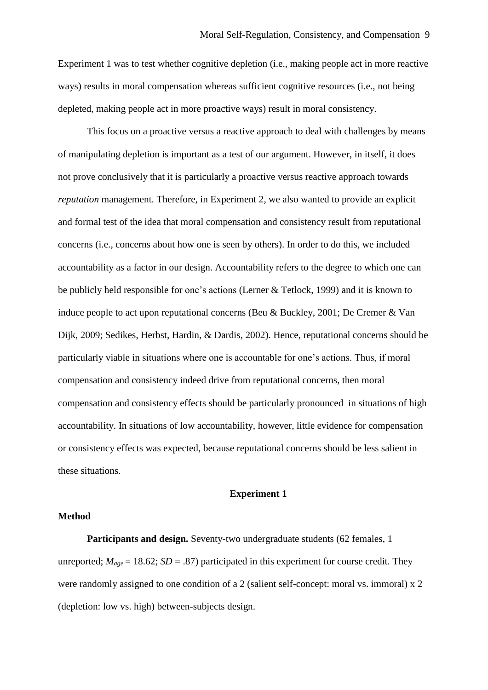Experiment 1 was to test whether cognitive depletion (i.e., making people act in more reactive ways) results in moral compensation whereas sufficient cognitive resources (i.e., not being depleted, making people act in more proactive ways) result in moral consistency.

This focus on a proactive versus a reactive approach to deal with challenges by means of manipulating depletion is important as a test of our argument. However, in itself, it does not prove conclusively that it is particularly a proactive versus reactive approach towards *reputation* management. Therefore, in Experiment 2, we also wanted to provide an explicit and formal test of the idea that moral compensation and consistency result from reputational concerns (i.e., concerns about how one is seen by others). In order to do this, we included accountability as a factor in our design. Accountability refers to the degree to which one can be publicly held responsible for one's actions (Lerner & Tetlock, 1999) and it is known to induce people to act upon reputational concerns (Beu & Buckley, 2001; De Cremer & Van Dijk, 2009; Sedikes, Herbst, Hardin, & Dardis, 2002). Hence, reputational concerns should be particularly viable in situations where one is accountable for one's actions. Thus, if moral compensation and consistency indeed drive from reputational concerns, then moral compensation and consistency effects should be particularly pronounced in situations of high accountability. In situations of low accountability, however, little evidence for compensation or consistency effects was expected, because reputational concerns should be less salient in these situations.

### **Experiment 1**

## **Method**

Participants and design. Seventy-two undergraduate students (62 females, 1) unreported;  $M_{age} = 18.62$ ;  $SD = .87$ ) participated in this experiment for course credit. They were randomly assigned to one condition of a 2 (salient self-concept: moral vs. immoral) x 2 (depletion: low vs. high) between-subjects design.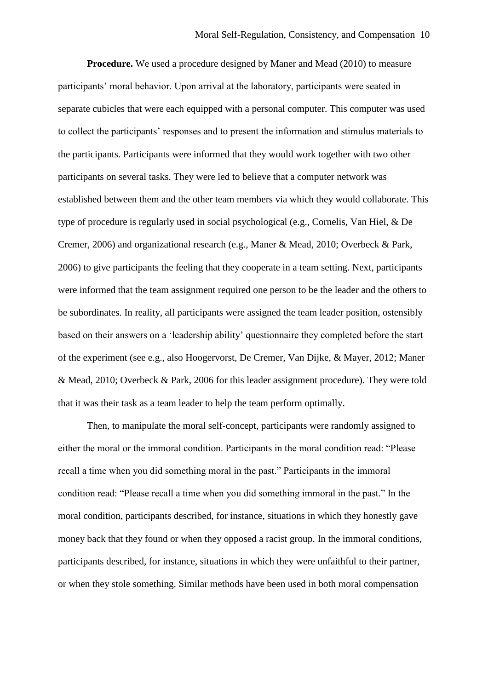**Procedure.** We used a procedure designed by Maner and Mead (2010) to measure participants' moral behavior. Upon arrival at the laboratory, participants were seated in separate cubicles that were each equipped with a personal computer. This computer was used to collect the participants' responses and to present the information and stimulus materials to the participants. Participants were informed that they would work together with two other participants on several tasks. They were led to believe that a computer network was established between them and the other team members via which they would collaborate. This type of procedure is regularly used in social psychological (e.g., Cornelis, Van Hiel, & De Cremer, 2006) and organizational research (e.g., Maner & Mead, 2010; Overbeck & Park, 2006) to give participants the feeling that they cooperate in a team setting. Next, participants were informed that the team assignment required one person to be the leader and the others to be subordinates. In reality, all participants were assigned the team leader position, ostensibly based on their answers on a 'leadership ability' questionnaire they completed before the start of the experiment (see e.g., also Hoogervorst, De Cremer, Van Dijke, & Mayer, 2012; Maner & Mead, 2010; Overbeck & Park, 2006 for this leader assignment procedure). They were told that it was their task as a team leader to help the team perform optimally.

Then, to manipulate the moral self-concept, participants were randomly assigned to either the moral or the immoral condition. Participants in the moral condition read: "Please recall a time when you did something moral in the past." Participants in the immoral condition read: "Please recall a time when you did something immoral in the past." In the moral condition, participants described, for instance, situations in which they honestly gave money back that they found or when they opposed a racist group. In the immoral conditions, participants described, for instance, situations in which they were unfaithful to their partner, or when they stole something. Similar methods have been used in both moral compensation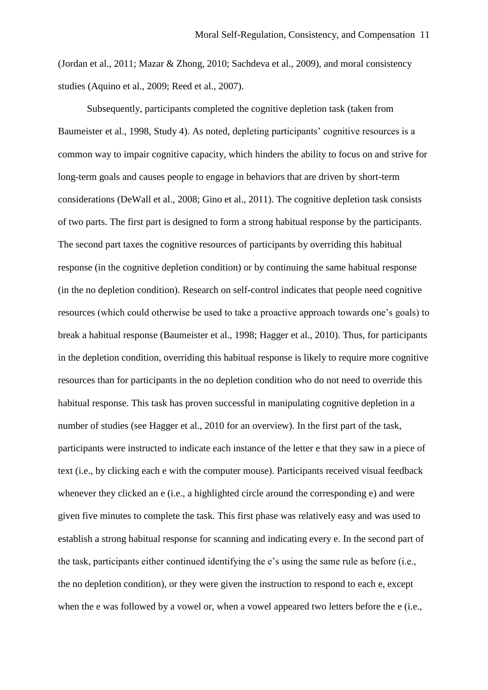(Jordan et al., 2011; Mazar & Zhong, 2010; Sachdeva et al., 2009), and moral consistency studies (Aquino et al., 2009; Reed et al., 2007).

Subsequently, participants completed the cognitive depletion task (taken from Baumeister et al., 1998, Study 4). As noted, depleting participants' cognitive resources is a common way to impair cognitive capacity, which hinders the ability to focus on and strive for long-term goals and causes people to engage in behaviors that are driven by short-term considerations (DeWall et al., 2008; Gino et al., 2011). The cognitive depletion task consists of two parts. The first part is designed to form a strong habitual response by the participants. The second part taxes the cognitive resources of participants by overriding this habitual response (in the cognitive depletion condition) or by continuing the same habitual response (in the no depletion condition). Research on self-control indicates that people need cognitive resources (which could otherwise be used to take a proactive approach towards one's goals) to break a habitual response (Baumeister et al., 1998; Hagger et al., 2010). Thus, for participants in the depletion condition, overriding this habitual response is likely to require more cognitive resources than for participants in the no depletion condition who do not need to override this habitual response. This task has proven successful in manipulating cognitive depletion in a number of studies (see Hagger et al., 2010 for an overview). In the first part of the task, participants were instructed to indicate each instance of the letter e that they saw in a piece of text (i.e., by clicking each e with the computer mouse). Participants received visual feedback whenever they clicked an e (i.e., a highlighted circle around the corresponding e) and were given five minutes to complete the task. This first phase was relatively easy and was used to establish a strong habitual response for scanning and indicating every e. In the second part of the task, participants either continued identifying the e's using the same rule as before (i.e., the no depletion condition), or they were given the instruction to respond to each e, except when the e was followed by a vowel or, when a vowel appeared two letters before the e (i.e.,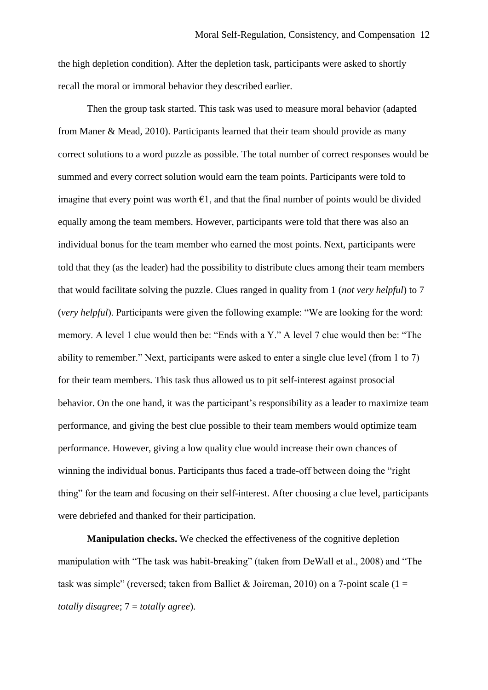the high depletion condition). After the depletion task, participants were asked to shortly recall the moral or immoral behavior they described earlier.

Then the group task started. This task was used to measure moral behavior (adapted from Maner & Mead, 2010). Participants learned that their team should provide as many correct solutions to a word puzzle as possible. The total number of correct responses would be summed and every correct solution would earn the team points. Participants were told to imagine that every point was worth  $\epsilon$ 1, and that the final number of points would be divided equally among the team members. However, participants were told that there was also an individual bonus for the team member who earned the most points. Next, participants were told that they (as the leader) had the possibility to distribute clues among their team members that would facilitate solving the puzzle. Clues ranged in quality from 1 (*not very helpful*) to 7 (*very helpful*). Participants were given the following example: "We are looking for the word: memory. A level 1 clue would then be: "Ends with a Y." A level 7 clue would then be: "The ability to remember." Next, participants were asked to enter a single clue level (from 1 to 7) for their team members. This task thus allowed us to pit self-interest against prosocial behavior. On the one hand, it was the participant's responsibility as a leader to maximize team performance, and giving the best clue possible to their team members would optimize team performance. However, giving a low quality clue would increase their own chances of winning the individual bonus. Participants thus faced a trade-off between doing the "right thing" for the team and focusing on their self-interest. After choosing a clue level, participants were debriefed and thanked for their participation.

**Manipulation checks.** We checked the effectiveness of the cognitive depletion manipulation with "The task was habit-breaking" (taken from DeWall et al., 2008) and "The task was simple" (reversed; taken from Balliet & Joireman, 2010) on a 7-point scale (1 = *totally disagree*; 7 = *totally agree*).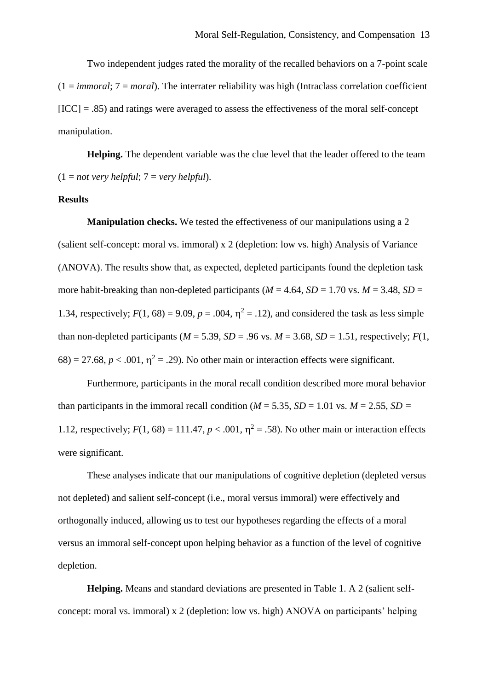Two independent judges rated the morality of the recalled behaviors on a 7-point scale  $(1 = \text{im } \text{mod}; 7 = \text{m } \text{ord})$ . The interrater reliability was high (Intraclass correlation coefficient  $[ICC] = .85$ ) and ratings were averaged to assess the effectiveness of the moral self-concept manipulation.

**Helping.** The dependent variable was the clue level that the leader offered to the team  $(1 = not \, very \, helpful; 7 = very \, helpful).$ 

#### **Results**

**Manipulation checks.** We tested the effectiveness of our manipulations using a 2 (salient self-concept: moral vs. immoral) x 2 (depletion: low vs. high) Analysis of Variance (ANOVA). The results show that, as expected, depleted participants found the depletion task more habit-breaking than non-depleted participants ( $M = 4.64$ ,  $SD = 1.70$  vs.  $M = 3.48$ ,  $SD =$ 1.34, respectively;  $F(1, 68) = 9.09$ ,  $p = .004$ ,  $\eta^2 = .12$ ), and considered the task as less simple than non-depleted participants ( $M = 5.39$ ,  $SD = .96$  vs.  $M = 3.68$ ,  $SD = 1.51$ , respectively;  $F(1,$  $68$ ) = 27.68,  $p < .001$ ,  $\eta^2 = .29$ ). No other main or interaction effects were significant.

Furthermore, participants in the moral recall condition described more moral behavior than participants in the immoral recall condition ( $M = 5.35$ ,  $SD = 1.01$  vs.  $M = 2.55$ ,  $SD =$ 1.12, respectively;  $F(1, 68) = 111.47$ ,  $p < .001$ ,  $\eta^2 = .58$ ). No other main or interaction effects were significant.

These analyses indicate that our manipulations of cognitive depletion (depleted versus not depleted) and salient self-concept (i.e., moral versus immoral) were effectively and orthogonally induced, allowing us to test our hypotheses regarding the effects of a moral versus an immoral self-concept upon helping behavior as a function of the level of cognitive depletion.

**Helping.** Means and standard deviations are presented in Table 1. A 2 (salient selfconcept: moral vs. immoral) x 2 (depletion: low vs. high) ANOVA on participants' helping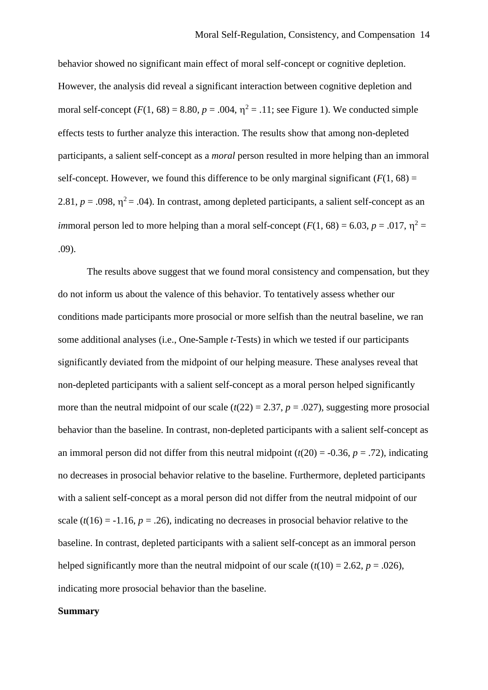behavior showed no significant main effect of moral self-concept or cognitive depletion. However, the analysis did reveal a significant interaction between cognitive depletion and moral self-concept  $(F(1, 68) = 8.80, p = .004, \eta^2 = .11)$ ; see Figure 1). We conducted simple effects tests to further analyze this interaction. The results show that among non-depleted participants, a salient self-concept as a *moral* person resulted in more helping than an immoral self-concept. However, we found this difference to be only marginal significant  $(F(1, 68)) =$ 2.81,  $p = .098$ ,  $\eta^2 = .04$ ). In contrast, among depleted participants, a salient self-concept as an *im*moral person led to more helping than a moral self-concept ( $F(1, 68) = 6.03$ ,  $p = .017$ ,  $\eta^2 =$ .09).

The results above suggest that we found moral consistency and compensation, but they do not inform us about the valence of this behavior. To tentatively assess whether our conditions made participants more prosocial or more selfish than the neutral baseline, we ran some additional analyses (i.e., One-Sample *t*-Tests) in which we tested if our participants significantly deviated from the midpoint of our helping measure. These analyses reveal that non-depleted participants with a salient self-concept as a moral person helped significantly more than the neutral midpoint of our scale  $(t(22) = 2.37, p = .027)$ , suggesting more prosocial behavior than the baseline. In contrast, non-depleted participants with a salient self-concept as an immoral person did not differ from this neutral midpoint  $(t(20) = -0.36, p = .72)$ , indicating no decreases in prosocial behavior relative to the baseline. Furthermore, depleted participants with a salient self-concept as a moral person did not differ from the neutral midpoint of our scale  $(t(16) = -1.16, p = .26)$ , indicating no decreases in prosocial behavior relative to the baseline. In contrast, depleted participants with a salient self-concept as an immoral person helped significantly more than the neutral midpoint of our scale  $(t(10) = 2.62, p = .026)$ , indicating more prosocial behavior than the baseline.

## **Summary**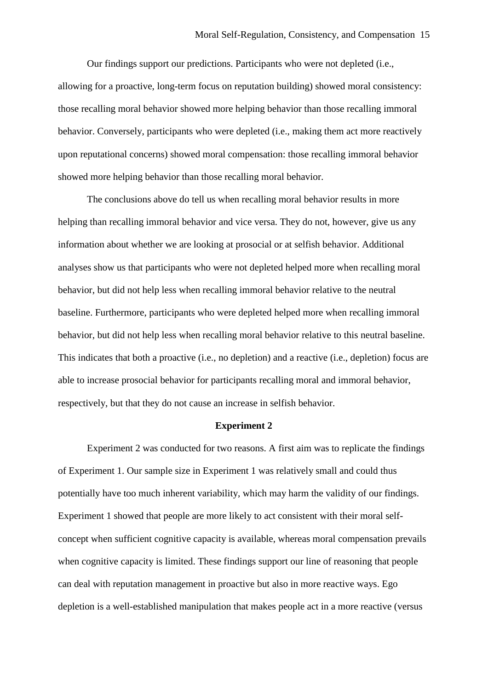Our findings support our predictions. Participants who were not depleted (i.e., allowing for a proactive, long-term focus on reputation building) showed moral consistency: those recalling moral behavior showed more helping behavior than those recalling immoral behavior. Conversely, participants who were depleted (i.e., making them act more reactively upon reputational concerns) showed moral compensation: those recalling immoral behavior showed more helping behavior than those recalling moral behavior.

The conclusions above do tell us when recalling moral behavior results in more helping than recalling immoral behavior and vice versa. They do not, however, give us any information about whether we are looking at prosocial or at selfish behavior. Additional analyses show us that participants who were not depleted helped more when recalling moral behavior, but did not help less when recalling immoral behavior relative to the neutral baseline. Furthermore, participants who were depleted helped more when recalling immoral behavior, but did not help less when recalling moral behavior relative to this neutral baseline. This indicates that both a proactive (i.e., no depletion) and a reactive (i.e., depletion) focus are able to increase prosocial behavior for participants recalling moral and immoral behavior, respectively, but that they do not cause an increase in selfish behavior.

## **Experiment 2**

Experiment 2 was conducted for two reasons. A first aim was to replicate the findings of Experiment 1. Our sample size in Experiment 1 was relatively small and could thus potentially have too much inherent variability, which may harm the validity of our findings. Experiment 1 showed that people are more likely to act consistent with their moral selfconcept when sufficient cognitive capacity is available, whereas moral compensation prevails when cognitive capacity is limited. These findings support our line of reasoning that people can deal with reputation management in proactive but also in more reactive ways. Ego depletion is a well-established manipulation that makes people act in a more reactive (versus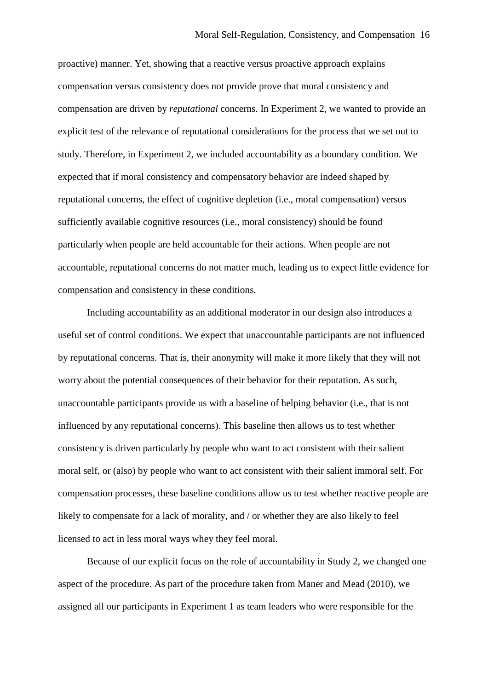proactive) manner. Yet, showing that a reactive versus proactive approach explains compensation versus consistency does not provide prove that moral consistency and compensation are driven by *reputational* concerns. In Experiment 2, we wanted to provide an explicit test of the relevance of reputational considerations for the process that we set out to study. Therefore, in Experiment 2, we included accountability as a boundary condition. We expected that if moral consistency and compensatory behavior are indeed shaped by reputational concerns, the effect of cognitive depletion (i.e., moral compensation) versus sufficiently available cognitive resources (i.e., moral consistency) should be found particularly when people are held accountable for their actions. When people are not accountable, reputational concerns do not matter much, leading us to expect little evidence for compensation and consistency in these conditions.

Including accountability as an additional moderator in our design also introduces a useful set of control conditions. We expect that unaccountable participants are not influenced by reputational concerns. That is, their anonymity will make it more likely that they will not worry about the potential consequences of their behavior for their reputation. As such, unaccountable participants provide us with a baseline of helping behavior (i.e., that is not influenced by any reputational concerns). This baseline then allows us to test whether consistency is driven particularly by people who want to act consistent with their salient moral self, or (also) by people who want to act consistent with their salient immoral self. For compensation processes, these baseline conditions allow us to test whether reactive people are likely to compensate for a lack of morality, and / or whether they are also likely to feel licensed to act in less moral ways whey they feel moral.

Because of our explicit focus on the role of accountability in Study 2, we changed one aspect of the procedure. As part of the procedure taken from Maner and Mead (2010), we assigned all our participants in Experiment 1 as team leaders who were responsible for the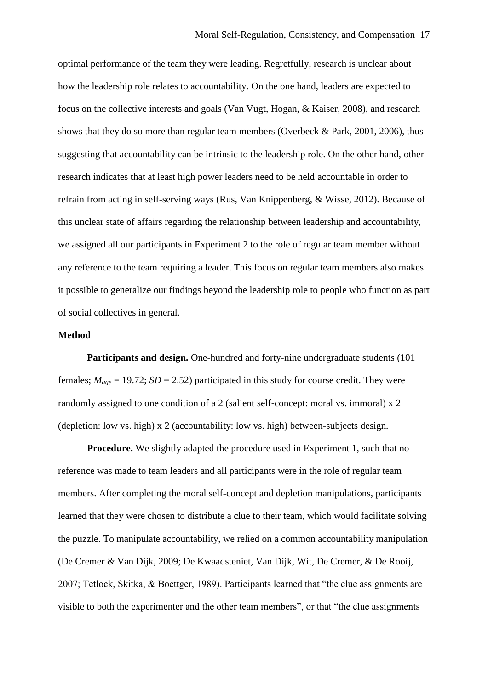optimal performance of the team they were leading. Regretfully, research is unclear about how the leadership role relates to accountability. On the one hand, leaders are expected to focus on the collective interests and goals (Van Vugt, Hogan, & Kaiser, 2008), and research shows that they do so more than regular team members (Overbeck & Park, 2001, 2006), thus suggesting that accountability can be intrinsic to the leadership role. On the other hand, other research indicates that at least high power leaders need to be held accountable in order to refrain from acting in self-serving ways (Rus, Van Knippenberg, & Wisse, 2012). Because of this unclear state of affairs regarding the relationship between leadership and accountability, we assigned all our participants in Experiment 2 to the role of regular team member without any reference to the team requiring a leader. This focus on regular team members also makes it possible to generalize our findings beyond the leadership role to people who function as part of social collectives in general.

#### **Method**

**Participants and design.** One-hundred and forty-nine undergraduate students (101 females;  $M_{age} = 19.72$ ;  $SD = 2.52$ ) participated in this study for course credit. They were randomly assigned to one condition of a 2 (salient self-concept: moral vs. immoral) x 2 (depletion: low vs. high) x 2 (accountability: low vs. high) between-subjects design.

**Procedure.** We slightly adapted the procedure used in Experiment 1, such that no reference was made to team leaders and all participants were in the role of regular team members. After completing the moral self-concept and depletion manipulations, participants learned that they were chosen to distribute a clue to their team, which would facilitate solving the puzzle. To manipulate accountability, we relied on a common accountability manipulation (De Cremer & Van Dijk, 2009; De Kwaadsteniet, Van Dijk, Wit, De Cremer, & De Rooij, 2007; Tetlock, Skitka, & Boettger, 1989). Participants learned that "the clue assignments are visible to both the experimenter and the other team members", or that "the clue assignments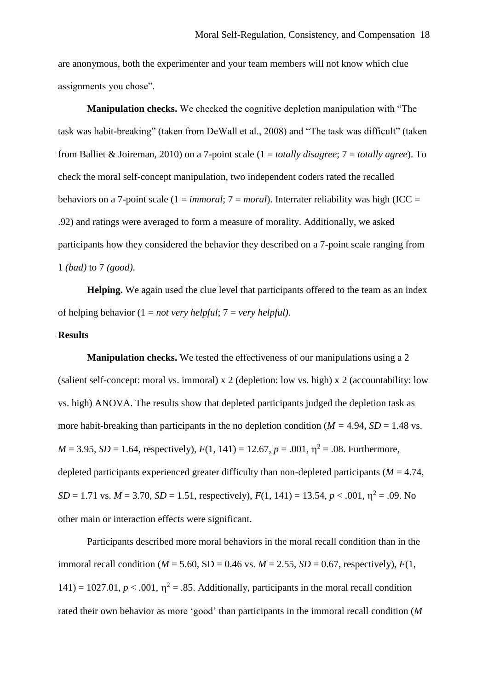are anonymous, both the experimenter and your team members will not know which clue assignments you chose".

**Manipulation checks.** We checked the cognitive depletion manipulation with "The task was habit-breaking" (taken from DeWall et al., 2008) and "The task was difficult" (taken from Balliet & Joireman, 2010) on a 7-point scale (1 = *totally disagree*; 7 = *totally agree*). To check the moral self-concept manipulation, two independent coders rated the recalled behaviors on a 7-point scale (1 = *immoral*; 7 = *moral*). Interrater reliability was high (ICC = .92) and ratings were averaged to form a measure of morality. Additionally, we asked participants how they considered the behavior they described on a 7-point scale ranging from 1 *(bad)* to 7 *(good)*.

**Helping.** We again used the clue level that participants offered to the team as an index of helping behavior (1 = *not very helpful*; 7 = *very helpful)*.

#### **Results**

**Manipulation checks.** We tested the effectiveness of our manipulations using a 2 (salient self-concept: moral vs. immoral) x 2 (depletion: low vs. high) x 2 (accountability: low vs. high) ANOVA. The results show that depleted participants judged the depletion task as more habit-breaking than participants in the no depletion condition ( $M = 4.94$ ,  $SD = 1.48$  vs.  $M = 3.95$ ,  $SD = 1.64$ , respectively),  $F(1, 141) = 12.67$ ,  $p = .001$ ,  $\eta^2 = .08$ . Furthermore, depleted participants experienced greater difficulty than non-depleted participants ( $M = 4.74$ ,  $SD = 1.71$  vs.  $M = 3.70$ ,  $SD = 1.51$ , respectively),  $F(1, 141) = 13.54$ ,  $p < .001$ ,  $\eta^2 = .09$ . No other main or interaction effects were significant.

Participants described more moral behaviors in the moral recall condition than in the immoral recall condition ( $M = 5.60$ ,  $SD = 0.46$  vs.  $M = 2.55$ ,  $SD = 0.67$ , respectively),  $F(1)$ , 141) = 1027.01,  $p < .001$ ,  $\eta^2 = .85$ . Additionally, participants in the moral recall condition rated their own behavior as more 'good' than participants in the immoral recall condition (*M*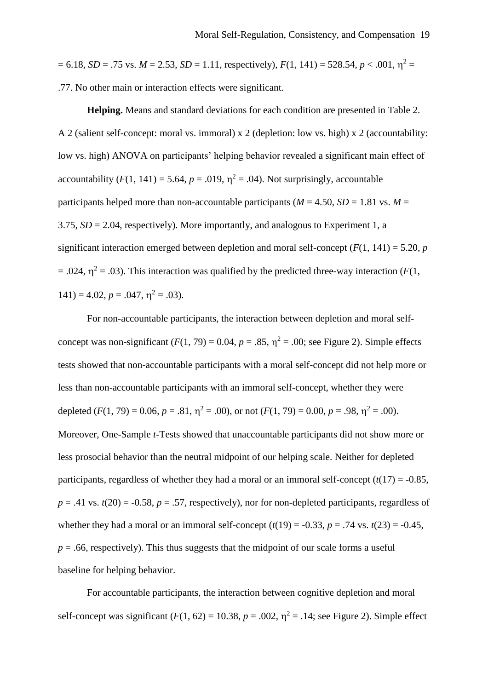$= 6.18$ , *SD* = .75 vs. *M* = 2.53, *SD* = 1.11, respectively), *F*(1, 141) = 528.54, *p* < .001,  $\eta^2$  = .77. No other main or interaction effects were significant.

**Helping.** Means and standard deviations for each condition are presented in Table 2. A 2 (salient self-concept: moral vs. immoral) x 2 (depletion: low vs. high) x 2 (accountability: low vs. high) ANOVA on participants' helping behavior revealed a significant main effect of accountability  $(F(1, 141) = 5.64, p = .019, \eta^2 = .04)$ . Not surprisingly, accountable participants helped more than non-accountable participants ( $M = 4.50$ ,  $SD = 1.81$  vs.  $M =$ 3.75,  $SD = 2.04$ , respectively). More importantly, and analogous to Experiment 1, a significant interaction emerged between depletion and moral self-concept  $(F(1, 141) = 5.20, p$  $= .024$ ,  $\eta^2 = .03$ ). This interaction was qualified by the predicted three-way interaction (*F*(1,  $141$ ) = 4.02, p = .047,  $\eta^2$  = .03).

For non-accountable participants, the interaction between depletion and moral selfconcept was non-significant  $(F(1, 79) = 0.04, p = .85, \eta^2 = .00$ ; see Figure 2). Simple effects tests showed that non-accountable participants with a moral self-concept did not help more or less than non-accountable participants with an immoral self-concept, whether they were depleted  $(F(1, 79) = 0.06, p = .81, \eta^2 = .00)$ , or not  $(F(1, 79) = 0.00, p = .98, \eta^2 = .00)$ . Moreover, One-Sample *t*-Tests showed that unaccountable participants did not show more or less prosocial behavior than the neutral midpoint of our helping scale. Neither for depleted participants, regardless of whether they had a moral or an immoral self-concept  $(t(17) = -0.85$ ,  $p = .41$  vs.  $t(20) = -0.58$ ,  $p = .57$ , respectively), nor for non-depleted participants, regardless of whether they had a moral or an immoral self-concept  $(t(19) = -0.33, p = .74$  vs.  $t(23) = -0.45$ ,  $p = .66$ , respectively). This thus suggests that the midpoint of our scale forms a useful baseline for helping behavior.

For accountable participants, the interaction between cognitive depletion and moral self-concept was significant  $(F(1, 62) = 10.38, p = .002, \eta^2 = .14$ ; see Figure 2). Simple effect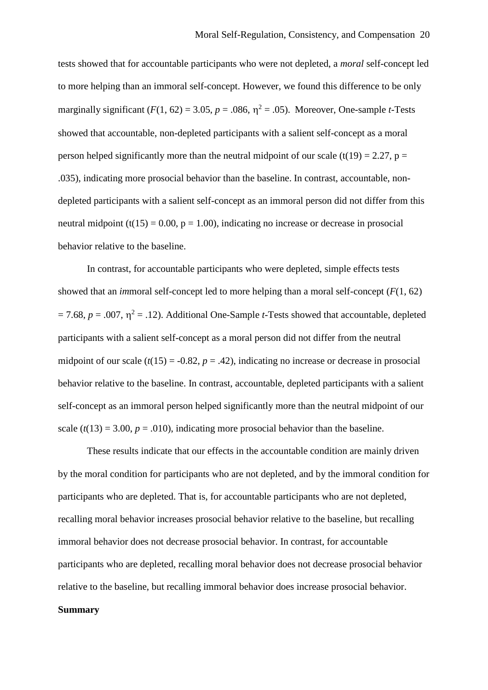tests showed that for accountable participants who were not depleted, a *moral* self-concept led to more helping than an immoral self-concept. However, we found this difference to be only marginally significant  $(F(1, 62) = 3.05, p = .086, \eta^2 = .05)$ . Moreover, One-sample *t*-Tests showed that accountable, non-depleted participants with a salient self-concept as a moral person helped significantly more than the neutral midpoint of our scale (t(19) = 2.27, p = .035), indicating more prosocial behavior than the baseline. In contrast, accountable, nondepleted participants with a salient self-concept as an immoral person did not differ from this neutral midpoint (t(15) = 0.00,  $p = 1.00$ ), indicating no increase or decrease in prosocial behavior relative to the baseline.

In contrast, for accountable participants who were depleted, simple effects tests showed that an *im*moral self-concept led to more helping than a moral self-concept (*F*(1, 62)  $= 7.68$ ,  $p = .007$ ,  $\eta^2 = .12$ ). Additional One-Sample *t*-Tests showed that accountable, depleted participants with a salient self-concept as a moral person did not differ from the neutral midpoint of our scale  $(t(15) = -0.82, p = .42)$ , indicating no increase or decrease in prosocial behavior relative to the baseline. In contrast, accountable, depleted participants with a salient self-concept as an immoral person helped significantly more than the neutral midpoint of our scale  $(t(13) = 3.00, p = .010)$ , indicating more prosocial behavior than the baseline.

These results indicate that our effects in the accountable condition are mainly driven by the moral condition for participants who are not depleted, and by the immoral condition for participants who are depleted. That is, for accountable participants who are not depleted, recalling moral behavior increases prosocial behavior relative to the baseline, but recalling immoral behavior does not decrease prosocial behavior. In contrast, for accountable participants who are depleted, recalling moral behavior does not decrease prosocial behavior relative to the baseline, but recalling immoral behavior does increase prosocial behavior.

## **Summary**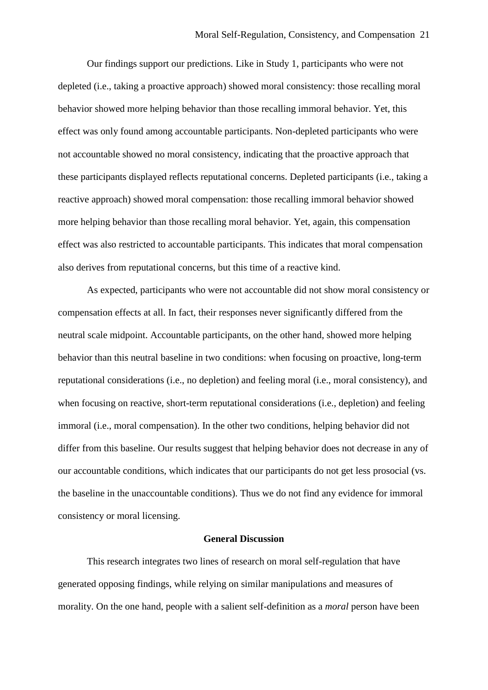Our findings support our predictions. Like in Study 1, participants who were not depleted (i.e., taking a proactive approach) showed moral consistency: those recalling moral behavior showed more helping behavior than those recalling immoral behavior. Yet, this effect was only found among accountable participants. Non-depleted participants who were not accountable showed no moral consistency, indicating that the proactive approach that these participants displayed reflects reputational concerns. Depleted participants (i.e., taking a reactive approach) showed moral compensation: those recalling immoral behavior showed more helping behavior than those recalling moral behavior. Yet, again, this compensation effect was also restricted to accountable participants. This indicates that moral compensation also derives from reputational concerns, but this time of a reactive kind.

As expected, participants who were not accountable did not show moral consistency or compensation effects at all. In fact, their responses never significantly differed from the neutral scale midpoint. Accountable participants, on the other hand, showed more helping behavior than this neutral baseline in two conditions: when focusing on proactive, long-term reputational considerations (i.e., no depletion) and feeling moral (i.e., moral consistency), and when focusing on reactive, short-term reputational considerations (i.e., depletion) and feeling immoral (i.e., moral compensation). In the other two conditions, helping behavior did not differ from this baseline. Our results suggest that helping behavior does not decrease in any of our accountable conditions, which indicates that our participants do not get less prosocial (vs. the baseline in the unaccountable conditions). Thus we do not find any evidence for immoral consistency or moral licensing.

#### **General Discussion**

This research integrates two lines of research on moral self-regulation that have generated opposing findings, while relying on similar manipulations and measures of morality. On the one hand, people with a salient self-definition as a *moral* person have been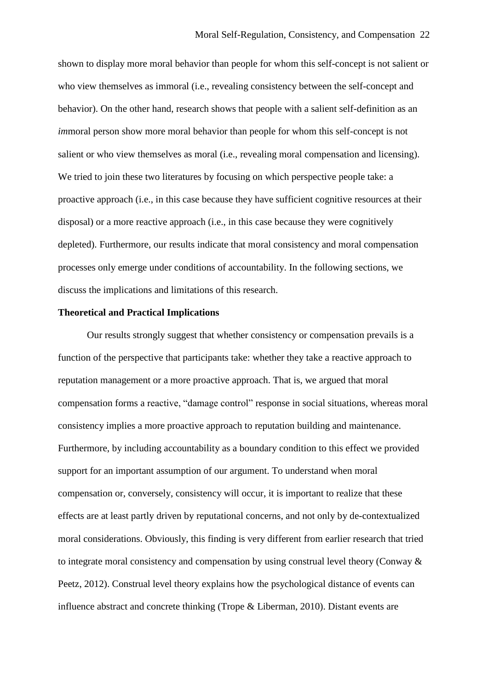shown to display more moral behavior than people for whom this self-concept is not salient or who view themselves as immoral (i.e., revealing consistency between the self-concept and behavior). On the other hand, research shows that people with a salient self-definition as an *immoral person show more moral behavior than people for whom this self-concept is not* salient or who view themselves as moral (i.e., revealing moral compensation and licensing). We tried to join these two literatures by focusing on which perspective people take: a proactive approach (i.e., in this case because they have sufficient cognitive resources at their disposal) or a more reactive approach (i.e., in this case because they were cognitively depleted). Furthermore, our results indicate that moral consistency and moral compensation processes only emerge under conditions of accountability. In the following sections, we discuss the implications and limitations of this research.

## **Theoretical and Practical Implications**

Our results strongly suggest that whether consistency or compensation prevails is a function of the perspective that participants take: whether they take a reactive approach to reputation management or a more proactive approach. That is, we argued that moral compensation forms a reactive, "damage control" response in social situations, whereas moral consistency implies a more proactive approach to reputation building and maintenance. Furthermore, by including accountability as a boundary condition to this effect we provided support for an important assumption of our argument. To understand when moral compensation or, conversely, consistency will occur, it is important to realize that these effects are at least partly driven by reputational concerns, and not only by de-contextualized moral considerations. Obviously, this finding is very different from earlier research that tried to integrate moral consistency and compensation by using construal level theory (Conway & Peetz, 2012). Construal level theory explains how the psychological distance of events can influence abstract and concrete thinking (Trope & Liberman, 2010). Distant events are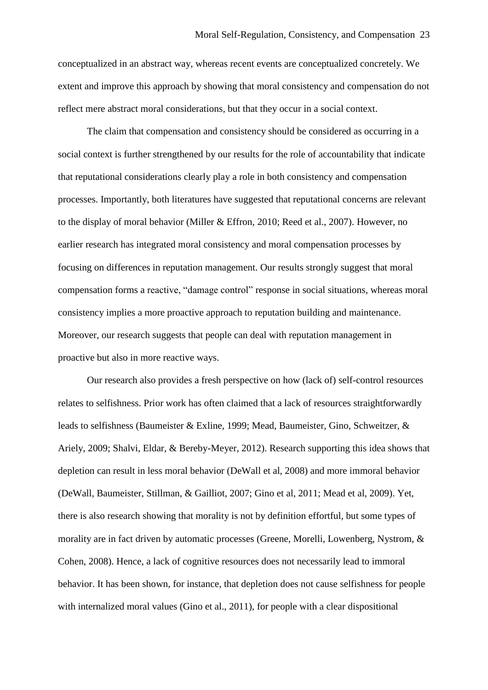conceptualized in an abstract way, whereas recent events are conceptualized concretely. We extent and improve this approach by showing that moral consistency and compensation do not reflect mere abstract moral considerations, but that they occur in a social context.

The claim that compensation and consistency should be considered as occurring in a social context is further strengthened by our results for the role of accountability that indicate that reputational considerations clearly play a role in both consistency and compensation processes. Importantly, both literatures have suggested that reputational concerns are relevant to the display of moral behavior (Miller & Effron, 2010; Reed et al., 2007). However, no earlier research has integrated moral consistency and moral compensation processes by focusing on differences in reputation management. Our results strongly suggest that moral compensation forms a reactive, "damage control" response in social situations, whereas moral consistency implies a more proactive approach to reputation building and maintenance. Moreover, our research suggests that people can deal with reputation management in proactive but also in more reactive ways.

Our research also provides a fresh perspective on how (lack of) self-control resources relates to selfishness. Prior work has often claimed that a lack of resources straightforwardly leads to selfishness (Baumeister & Exline, 1999; Mead, Baumeister, Gino, Schweitzer, & Ariely, 2009; Shalvi, Eldar, & Bereby-Meyer, 2012). Research supporting this idea shows that depletion can result in less moral behavior (DeWall et al, 2008) and more immoral behavior (DeWall, Baumeister, Stillman, & Gailliot, 2007; Gino et al, 2011; Mead et al, 2009). Yet, there is also research showing that morality is not by definition effortful, but some types of morality are in fact driven by automatic processes (Greene, Morelli, Lowenberg, Nystrom, & Cohen, 2008). Hence, a lack of cognitive resources does not necessarily lead to immoral behavior. It has been shown, for instance, that depletion does not cause selfishness for people with internalized moral values (Gino et al., 2011), for people with a clear dispositional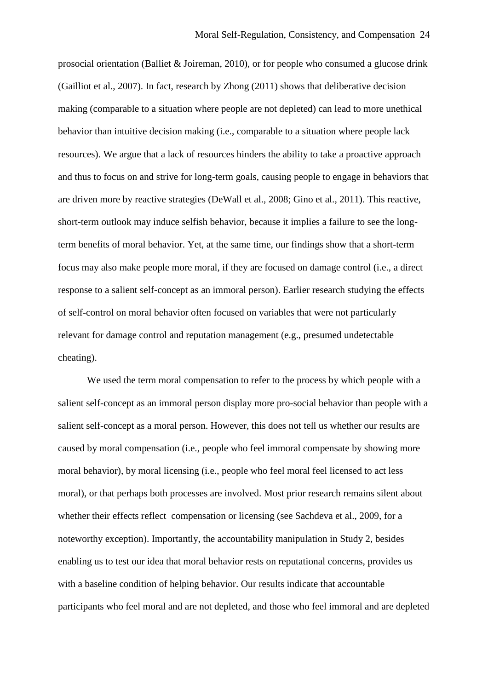prosocial orientation (Balliet & Joireman, 2010), or for people who consumed a glucose drink (Gailliot et al., 2007). In fact, research by Zhong (2011) shows that deliberative decision making (comparable to a situation where people are not depleted) can lead to more unethical behavior than intuitive decision making (i.e., comparable to a situation where people lack resources). We argue that a lack of resources hinders the ability to take a proactive approach and thus to focus on and strive for long-term goals, causing people to engage in behaviors that are driven more by reactive strategies (DeWall et al., 2008; Gino et al., 2011). This reactive, short-term outlook may induce selfish behavior, because it implies a failure to see the longterm benefits of moral behavior. Yet, at the same time, our findings show that a short-term focus may also make people more moral, if they are focused on damage control (i.e., a direct response to a salient self-concept as an immoral person). Earlier research studying the effects of self-control on moral behavior often focused on variables that were not particularly relevant for damage control and reputation management (e.g., presumed undetectable cheating).

We used the term moral compensation to refer to the process by which people with a salient self-concept as an immoral person display more pro-social behavior than people with a salient self-concept as a moral person. However, this does not tell us whether our results are caused by moral compensation (i.e., people who feel immoral compensate by showing more moral behavior), by moral licensing (i.e., people who feel moral feel licensed to act less moral), or that perhaps both processes are involved. Most prior research remains silent about whether their effects reflect compensation or licensing (see Sachdeva et al., 2009, for a noteworthy exception). Importantly, the accountability manipulation in Study 2, besides enabling us to test our idea that moral behavior rests on reputational concerns, provides us with a baseline condition of helping behavior. Our results indicate that accountable participants who feel moral and are not depleted, and those who feel immoral and are depleted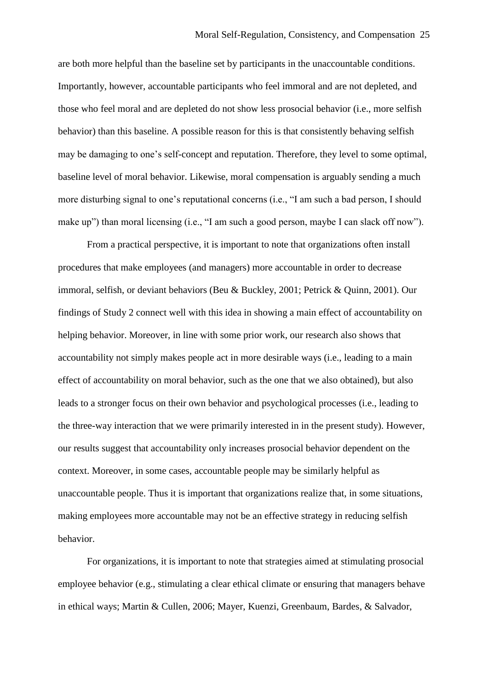are both more helpful than the baseline set by participants in the unaccountable conditions. Importantly, however, accountable participants who feel immoral and are not depleted, and those who feel moral and are depleted do not show less prosocial behavior (i.e., more selfish behavior) than this baseline. A possible reason for this is that consistently behaving selfish may be damaging to one's self-concept and reputation. Therefore, they level to some optimal, baseline level of moral behavior. Likewise, moral compensation is arguably sending a much more disturbing signal to one's reputational concerns (i.e., "I am such a bad person, I should make up") than moral licensing (i.e., "I am such a good person, maybe I can slack off now").

From a practical perspective, it is important to note that organizations often install procedures that make employees (and managers) more accountable in order to decrease immoral, selfish, or deviant behaviors (Beu & Buckley, 2001; Petrick & Quinn, 2001). Our findings of Study 2 connect well with this idea in showing a main effect of accountability on helping behavior. Moreover, in line with some prior work, our research also shows that accountability not simply makes people act in more desirable ways (i.e., leading to a main effect of accountability on moral behavior, such as the one that we also obtained), but also leads to a stronger focus on their own behavior and psychological processes (i.e., leading to the three-way interaction that we were primarily interested in in the present study). However, our results suggest that accountability only increases prosocial behavior dependent on the context. Moreover, in some cases, accountable people may be similarly helpful as unaccountable people. Thus it is important that organizations realize that, in some situations, making employees more accountable may not be an effective strategy in reducing selfish behavior.

For organizations, it is important to note that strategies aimed at stimulating prosocial employee behavior (e.g., stimulating a clear ethical climate or ensuring that managers behave in ethical ways; Martin & Cullen, 2006; Mayer, Kuenzi, Greenbaum, Bardes, & Salvador,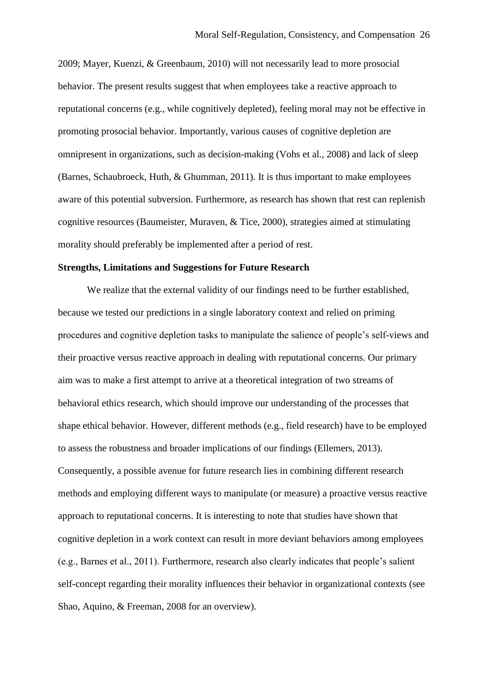2009; Mayer, Kuenzi, & Greenbaum, 2010) will not necessarily lead to more prosocial behavior. The present results suggest that when employees take a reactive approach to reputational concerns (e.g., while cognitively depleted), feeling moral may not be effective in promoting prosocial behavior. Importantly, various causes of cognitive depletion are omnipresent in organizations, such as decision-making (Vohs et al., 2008) and lack of sleep (Barnes, Schaubroeck, Huth, & Ghumman, 2011). It is thus important to make employees aware of this potential subversion. Furthermore, as research has shown that rest can replenish cognitive resources (Baumeister, Muraven, & Tice, 2000), strategies aimed at stimulating morality should preferably be implemented after a period of rest.

### **Strengths, Limitations and Suggestions for Future Research**

We realize that the external validity of our findings need to be further established, because we tested our predictions in a single laboratory context and relied on priming procedures and cognitive depletion tasks to manipulate the salience of people's self-views and their proactive versus reactive approach in dealing with reputational concerns. Our primary aim was to make a first attempt to arrive at a theoretical integration of two streams of behavioral ethics research, which should improve our understanding of the processes that shape ethical behavior. However, different methods (e.g., field research) have to be employed to assess the robustness and broader implications of our findings (Ellemers, 2013). Consequently, a possible avenue for future research lies in combining different research methods and employing different ways to manipulate (or measure) a proactive versus reactive approach to reputational concerns. It is interesting to note that studies have shown that cognitive depletion in a work context can result in more deviant behaviors among employees (e.g., Barnes et al., 2011). Furthermore, research also clearly indicates that people's salient self-concept regarding their morality influences their behavior in organizational contexts (see Shao, Aquino, & Freeman, 2008 for an overview).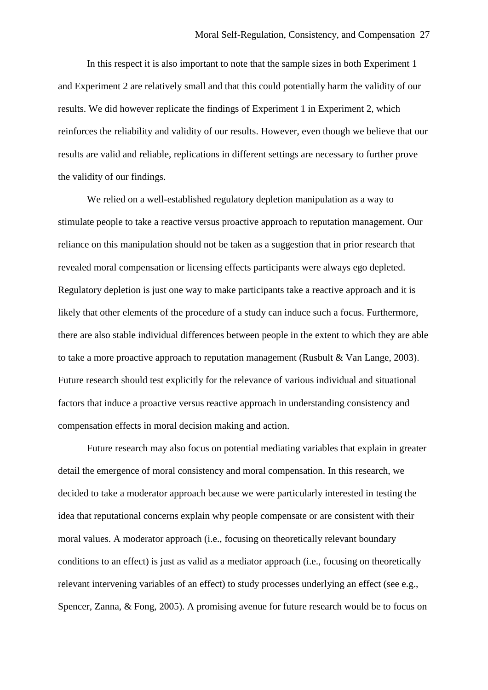In this respect it is also important to note that the sample sizes in both Experiment 1 and Experiment 2 are relatively small and that this could potentially harm the validity of our results. We did however replicate the findings of Experiment 1 in Experiment 2, which reinforces the reliability and validity of our results. However, even though we believe that our results are valid and reliable, replications in different settings are necessary to further prove the validity of our findings.

We relied on a well-established regulatory depletion manipulation as a way to stimulate people to take a reactive versus proactive approach to reputation management. Our reliance on this manipulation should not be taken as a suggestion that in prior research that revealed moral compensation or licensing effects participants were always ego depleted. Regulatory depletion is just one way to make participants take a reactive approach and it is likely that other elements of the procedure of a study can induce such a focus. Furthermore, there are also stable individual differences between people in the extent to which they are able to take a more proactive approach to reputation management (Rusbult & Van Lange, 2003). Future research should test explicitly for the relevance of various individual and situational factors that induce a proactive versus reactive approach in understanding consistency and compensation effects in moral decision making and action.

Future research may also focus on potential mediating variables that explain in greater detail the emergence of moral consistency and moral compensation. In this research, we decided to take a moderator approach because we were particularly interested in testing the idea that reputational concerns explain why people compensate or are consistent with their moral values. A moderator approach (i.e., focusing on theoretically relevant boundary conditions to an effect) is just as valid as a mediator approach (i.e., focusing on theoretically relevant intervening variables of an effect) to study processes underlying an effect (see e.g., Spencer, Zanna, & Fong, 2005). A promising avenue for future research would be to focus on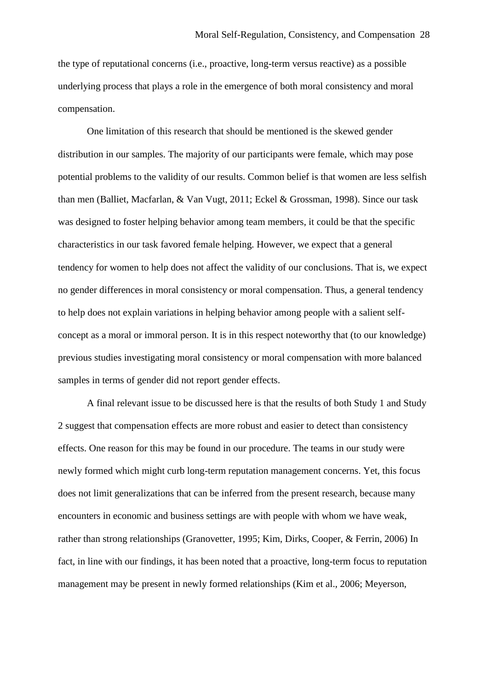the type of reputational concerns (i.e., proactive, long-term versus reactive) as a possible underlying process that plays a role in the emergence of both moral consistency and moral compensation.

One limitation of this research that should be mentioned is the skewed gender distribution in our samples. The majority of our participants were female, which may pose potential problems to the validity of our results. Common belief is that women are less selfish than men (Balliet, Macfarlan, & Van Vugt, 2011; Eckel & Grossman, 1998). Since our task was designed to foster helping behavior among team members, it could be that the specific characteristics in our task favored female helping. However, we expect that a general tendency for women to help does not affect the validity of our conclusions. That is, we expect no gender differences in moral consistency or moral compensation. Thus, a general tendency to help does not explain variations in helping behavior among people with a salient selfconcept as a moral or immoral person. It is in this respect noteworthy that (to our knowledge) previous studies investigating moral consistency or moral compensation with more balanced samples in terms of gender did not report gender effects.

A final relevant issue to be discussed here is that the results of both Study 1 and Study 2 suggest that compensation effects are more robust and easier to detect than consistency effects. One reason for this may be found in our procedure. The teams in our study were newly formed which might curb long-term reputation management concerns. Yet, this focus does not limit generalizations that can be inferred from the present research, because many encounters in economic and business settings are with people with whom we have weak, rather than strong relationships (Granovetter, 1995; Kim, Dirks, Cooper, & Ferrin, 2006) In fact, in line with our findings, it has been noted that a proactive, long-term focus to reputation management may be present in newly formed relationships (Kim et al., 2006; Meyerson,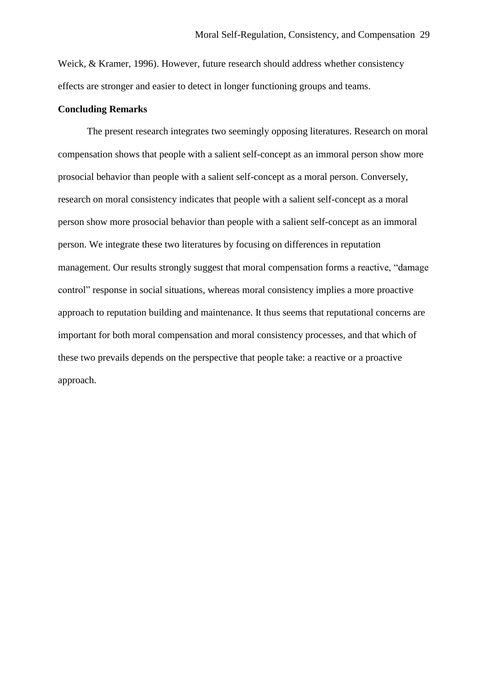Weick, & Kramer, 1996). However, future research should address whether consistency effects are stronger and easier to detect in longer functioning groups and teams.

#### **Concluding Remarks**

The present research integrates two seemingly opposing literatures. Research on moral compensation shows that people with a salient self-concept as an immoral person show more prosocial behavior than people with a salient self-concept as a moral person. Conversely, research on moral consistency indicates that people with a salient self-concept as a moral person show more prosocial behavior than people with a salient self-concept as an immoral person. We integrate these two literatures by focusing on differences in reputation management. Our results strongly suggest that moral compensation forms a reactive, "damage control" response in social situations, whereas moral consistency implies a more proactive approach to reputation building and maintenance. It thus seems that reputational concerns are important for both moral compensation and moral consistency processes, and that which of these two prevails depends on the perspective that people take: a reactive or a proactive approach.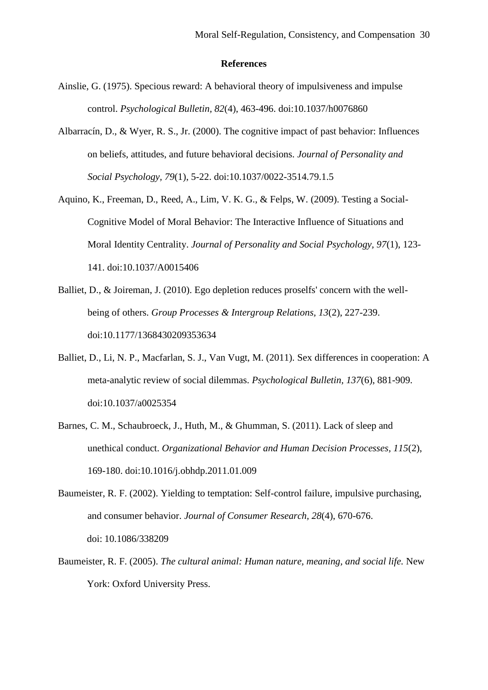#### **References**

- Ainslie, G. (1975). Specious reward: A behavioral theory of impulsiveness and impulse control. *Psychological Bulletin, 82*(4), 463-496. doi:10.1037/h0076860
- Albarracín, D., & Wyer, R. S., Jr. (2000). The cognitive impact of past behavior: Influences on beliefs, attitudes, and future behavioral decisions. *Journal of Personality and Social Psychology, 79*(1), 5-22. doi:10.1037/0022-3514.79.1.5
- Aquino, K., Freeman, D., Reed, A., Lim, V. K. G., & Felps, W. (2009). Testing a Social-Cognitive Model of Moral Behavior: The Interactive Influence of Situations and Moral Identity Centrality. *Journal of Personality and Social Psychology, 97*(1), 123- 141. doi:10.1037/A0015406
- Balliet, D., & Joireman, J. (2010). Ego depletion reduces proselfs' concern with the wellbeing of others. *Group Processes & Intergroup Relations, 13*(2), 227-239. doi:10.1177/1368430209353634
- Balliet, D., Li, N. P., Macfarlan, S. J., Van Vugt, M. (2011). Sex differences in cooperation: A meta-analytic review of social dilemmas. *Psychological Bulletin, 137*(6), 881-909. doi:10.1037/a0025354
- Barnes, C. M., Schaubroeck, J., Huth, M., & Ghumman, S. (2011). Lack of sleep and unethical conduct. *Organizational Behavior and Human Decision Processes, 115*(2), 169-180. doi:10.1016/j.obhdp.2011.01.009
- Baumeister, R. F. (2002). Yielding to temptation: Self-control failure, impulsive purchasing, and consumer behavior. *Journal of Consumer Research, 28*(4), 670-676. doi: 10.1086/338209
- Baumeister, R. F. (2005). *The cultural animal: Human nature, meaning, and social life.* New York: Oxford University Press.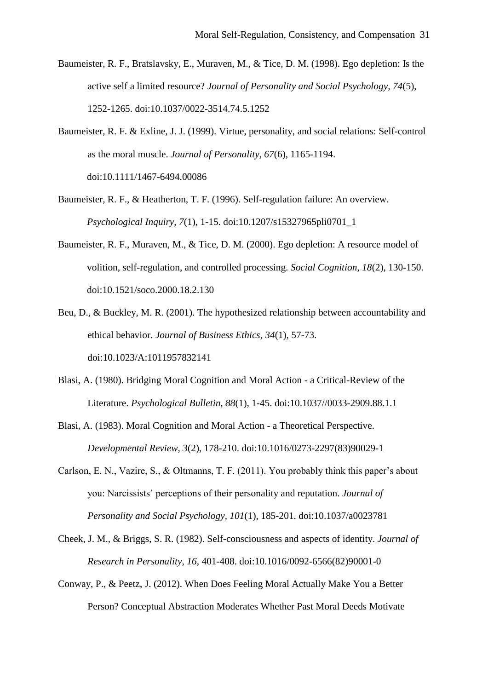- Baumeister, R. F., Bratslavsky, E., Muraven, M., & Tice, D. M. (1998). Ego depletion: Is the active self a limited resource? *Journal of Personality and Social Psychology, 74*(5), 1252-1265. doi:10.1037/0022-3514.74.5.1252
- Baumeister, R. F. & Exline, J. J. (1999). Virtue, personality, and social relations: Self-control as the moral muscle. *Journal of Personality, 67*(6), 1165-1194. doi:10.1111/1467-6494.00086
- Baumeister, R. F., & Heatherton, T. F. (1996). Self-regulation failure: An overview. *Psychological Inquiry, 7*(1), 1-15. doi:10.1207/s15327965pli0701\_1
- Baumeister, R. F., Muraven, M., & Tice, D. M. (2000). Ego depletion: A resource model of volition, self-regulation, and controlled processing. *Social Cognition, 18*(2), 130-150. doi:10.1521/soco.2000.18.2.130
- Beu, D., & Buckley, M. R. (2001). The hypothesized relationship between accountability and ethical behavior. *Journal of Business Ethics, 34*(1), 57-73. doi:10.1023/A:1011957832141
- Blasi, A. (1980). Bridging Moral Cognition and Moral Action a Critical-Review of the Literature. *Psychological Bulletin, 88*(1), 1-45. doi:10.1037//0033-2909.88.1.1
- Blasi, A. (1983). Moral Cognition and Moral Action a Theoretical Perspective. *Developmental Review, 3*(2), 178-210. doi:10.1016/0273-2297(83)90029-1
- Carlson, E. N., Vazire, S., & Oltmanns, T. F. (2011). You probably think this paper's about you: Narcissists' perceptions of their personality and reputation. *Journal of Personality and Social Psychology, 101*(1), 185-201. doi:10.1037/a0023781
- Cheek, J. M., & Briggs, S. R. (1982). Self-consciousness and aspects of identity. *Journal of Research in Personality, 16*, 401-408. doi:10.1016/0092-6566(82)90001-0
- Conway, P., & Peetz, J. (2012). When Does Feeling Moral Actually Make You a Better Person? Conceptual Abstraction Moderates Whether Past Moral Deeds Motivate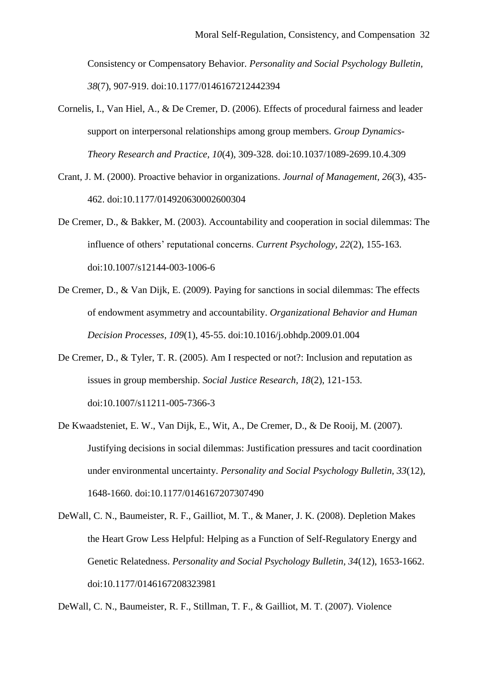Consistency or Compensatory Behavior. *Personality and Social Psychology Bulletin, 38*(7), 907-919. doi:10.1177/0146167212442394

- Cornelis, I., Van Hiel, A., & De Cremer, D. (2006). Effects of procedural fairness and leader support on interpersonal relationships among group members. *Group Dynamics-Theory Research and Practice, 10*(4), 309-328. doi:10.1037/1089-2699.10.4.309
- Crant, J. M. (2000). Proactive behavior in organizations. *Journal of Management, 26*(3), 435- 462. doi:10.1177/014920630002600304
- De Cremer, D., & Bakker, M. (2003). Accountability and cooperation in social dilemmas: The influence of others' reputational concerns. *Current Psychology, 22*(2), 155-163. doi:10.1007/s12144-003-1006-6
- De Cremer, D., & Van Dijk, E. (2009). Paying for sanctions in social dilemmas: The effects of endowment asymmetry and accountability. *Organizational Behavior and Human Decision Processes, 109*(1), 45-55. doi:10.1016/j.obhdp.2009.01.004
- De Cremer, D., & Tyler, T. R. (2005). Am I respected or not?: Inclusion and reputation as issues in group membership. *Social Justice Research, 18*(2), 121-153. doi:10.1007/s11211-005-7366-3
- De Kwaadsteniet, E. W., Van Dijk, E., Wit, A., De Cremer, D., & De Rooij, M. (2007). Justifying decisions in social dilemmas: Justification pressures and tacit coordination under environmental uncertainty. *Personality and Social Psychology Bulletin, 33*(12), 1648-1660. doi:10.1177/0146167207307490
- DeWall, C. N., Baumeister, R. F., Gailliot, M. T., & Maner, J. K. (2008). Depletion Makes the Heart Grow Less Helpful: Helping as a Function of Self-Regulatory Energy and Genetic Relatedness. *Personality and Social Psychology Bulletin, 34*(12), 1653-1662. doi:10.1177/0146167208323981

DeWall, C. N., Baumeister, R. F., Stillman, T. F., & Gailliot, M. T. (2007). Violence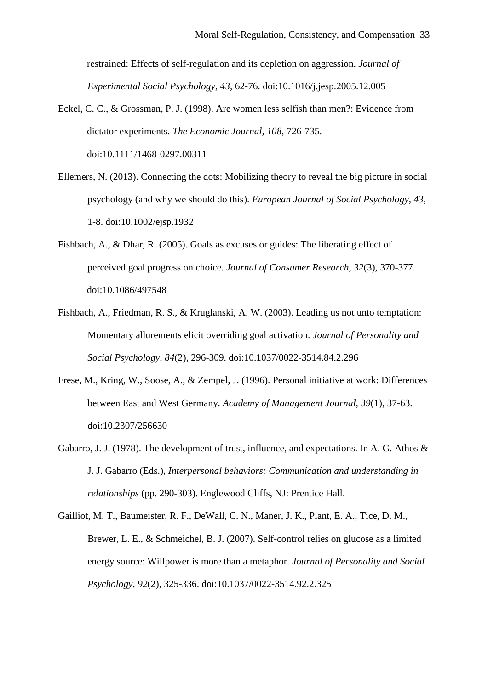restrained: Effects of self-regulation and its depletion on aggression. *Journal of Experimental Social Psychology, 43,* 62-76. doi:10.1016/j.jesp.2005.12.005

- Eckel, C. C., & Grossman, P. J. (1998). Are women less selfish than men?: Evidence from dictator experiments. *The Economic Journal, 108*, 726-735. doi:10.1111/1468-0297.00311
- Ellemers, N. (2013). Connecting the dots: Mobilizing theory to reveal the big picture in social psychology (and why we should do this). *European Journal of Social Psychology, 43,* 1-8. doi:10.1002/ejsp.1932
- Fishbach, A., & Dhar, R. (2005). Goals as excuses or guides: The liberating effect of perceived goal progress on choice. *Journal of Consumer Research, 32*(3), 370-377. doi:10.1086/497548
- Fishbach, A., Friedman, R. S., & Kruglanski, A. W. (2003). Leading us not unto temptation: Momentary allurements elicit overriding goal activation. *Journal of Personality and Social Psychology, 84*(2), 296-309. doi:10.1037/0022-3514.84.2.296
- Frese, M., Kring, W., Soose, A., & Zempel, J. (1996). Personal initiative at work: Differences between East and West Germany. *Academy of Management Journal, 39*(1), 37-63. doi:10.2307/256630
- Gabarro, J. J. (1978). The development of trust, influence, and expectations. In A. G. Athos  $\&$ J. J. Gabarro (Eds.), *Interpersonal behaviors: Communication and understanding in relationships* (pp. 290-303). Englewood Cliffs, NJ: Prentice Hall.
- Gailliot, M. T., Baumeister, R. F., DeWall, C. N., Maner, J. K., Plant, E. A., Tice, D. M., Brewer, L. E., & Schmeichel, B. J. (2007). Self-control relies on glucose as a limited energy source: Willpower is more than a metaphor. *Journal of Personality and Social Psychology, 92*(2), 325-336. doi:10.1037/0022-3514.92.2.325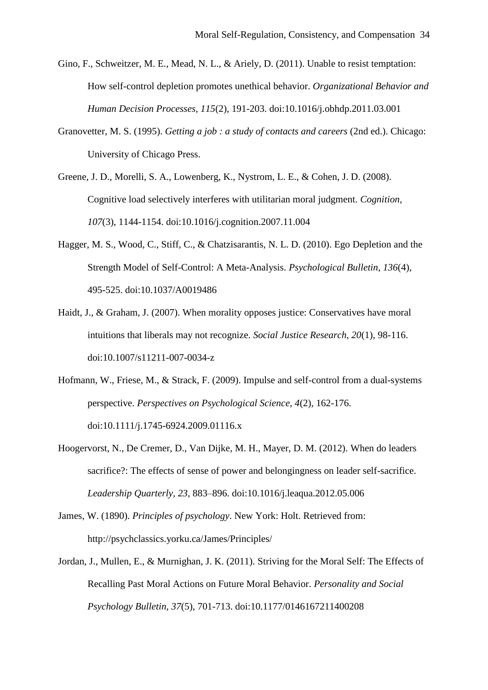- Gino, F., Schweitzer, M. E., Mead, N. L., & Ariely, D. (2011). Unable to resist temptation: How self-control depletion promotes unethical behavior. *Organizational Behavior and Human Decision Processes, 115*(2), 191-203. doi:10.1016/j.obhdp.2011.03.001
- Granovetter, M. S. (1995). *Getting a job : a study of contacts and careers* (2nd ed.). Chicago: University of Chicago Press.
- Greene, J. D., Morelli, S. A., Lowenberg, K., Nystrom, L. E., & Cohen, J. D. (2008). Cognitive load selectively interferes with utilitarian moral judgment. *Cognition, 107*(3), 1144-1154. doi:10.1016/j.cognition.2007.11.004
- Hagger, M. S., Wood, C., Stiff, C., & Chatzisarantis, N. L. D. (2010). Ego Depletion and the Strength Model of Self-Control: A Meta-Analysis. *Psychological Bulletin, 136*(4), 495-525. doi:10.1037/A0019486
- Haidt, J., & Graham, J. (2007). When morality opposes justice: Conservatives have moral intuitions that liberals may not recognize. *Social Justice Research, 20*(1), 98-116. doi:10.1007/s11211-007-0034-z
- Hofmann, W., Friese, M., & Strack, F. (2009). Impulse and self-control from a dual-systems perspective. *Perspectives on Psychological Science, 4*(2), 162-176. doi:10.1111/j.1745-6924.2009.01116.x
- Hoogervorst, N., De Cremer, D., Van Dijke, M. H., Mayer, D. M. (2012). When do leaders sacrifice?: The effects of sense of power and belongingness on leader self-sacrifice. *Leadership Quarterly, 23,* 883–896. doi:10.1016/j.leaqua.2012.05.006
- James, W. (1890). *Principles of psychology*. New York: Holt. Retrieved from: http://psychclassics.yorku.ca/James/Principles/
- Jordan, J., Mullen, E., & Murnighan, J. K. (2011). Striving for the Moral Self: The Effects of Recalling Past Moral Actions on Future Moral Behavior. *Personality and Social Psychology Bulletin, 37*(5), 701-713. doi:10.1177/0146167211400208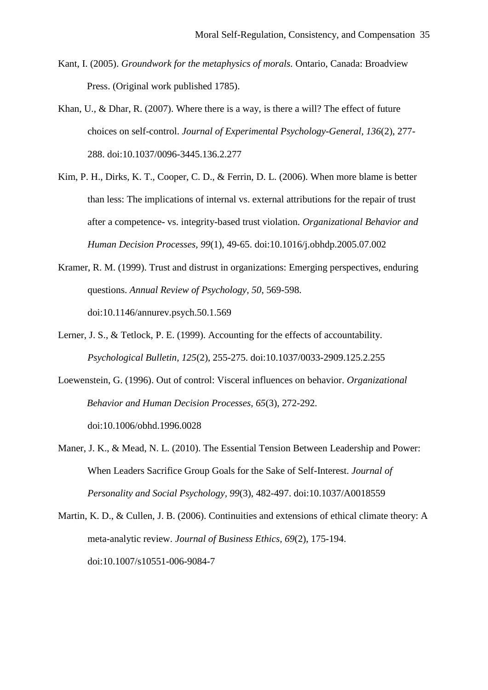- Kant, I. (2005). *Groundwork for the metaphysics of morals.* Ontario, Canada: Broadview Press. (Original work published 1785).
- Khan, U., & Dhar, R. (2007). Where there is a way, is there a will? The effect of future choices on self-control. *Journal of Experimental Psychology-General, 136*(2), 277- 288. doi:10.1037/0096-3445.136.2.277
- Kim, P. H., Dirks, K. T., Cooper, C. D., & Ferrin, D. L. (2006). When more blame is better than less: The implications of internal vs. external attributions for the repair of trust after a competence- vs. integrity-based trust violation. *Organizational Behavior and Human Decision Processes, 99*(1), 49-65. doi:10.1016/j.obhdp.2005.07.002
- Kramer, R. M. (1999). Trust and distrust in organizations: Emerging perspectives, enduring questions. *Annual Review of Psychology, 50*, 569-598. doi:10.1146/annurev.psych.50.1.569
- Lerner, J. S., & Tetlock, P. E. (1999). Accounting for the effects of accountability. *Psychological Bulletin, 125*(2), 255-275. doi:10.1037/0033-2909.125.2.255
- Loewenstein, G. (1996). Out of control: Visceral influences on behavior. *Organizational Behavior and Human Decision Processes, 65*(3), 272-292. doi:10.1006/obhd.1996.0028
- Maner, J. K., & Mead, N. L. (2010). The Essential Tension Between Leadership and Power: When Leaders Sacrifice Group Goals for the Sake of Self-Interest. *Journal of Personality and Social Psychology, 99*(3), 482-497. doi:10.1037/A0018559
- Martin, K. D., & Cullen, J. B. (2006). Continuities and extensions of ethical climate theory: A meta-analytic review. *Journal of Business Ethics, 69*(2), 175-194. doi:10.1007/s10551-006-9084-7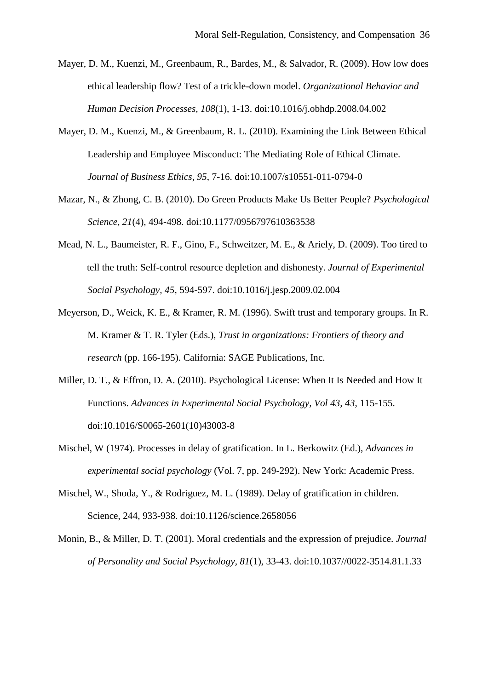- Mayer, D. M., Kuenzi, M., Greenbaum, R., Bardes, M., & Salvador, R. (2009). How low does ethical leadership flow? Test of a trickle-down model. *Organizational Behavior and Human Decision Processes, 108*(1), 1-13. doi:10.1016/j.obhdp.2008.04.002
- Mayer, D. M., Kuenzi, M., & Greenbaum, R. L. (2010). Examining the Link Between Ethical Leadership and Employee Misconduct: The Mediating Role of Ethical Climate. *Journal of Business Ethics, 95*, 7-16. doi:10.1007/s10551-011-0794-0
- Mazar, N., & Zhong, C. B. (2010). Do Green Products Make Us Better People? *Psychological Science, 21*(4), 494-498. doi:10.1177/0956797610363538
- Mead, N. L., Baumeister, R. F., Gino, F., Schweitzer, M. E., & Ariely, D. (2009). Too tired to tell the truth: Self-control resource depletion and dishonesty. *Journal of Experimental Social Psychology, 45,* 594-597. doi:10.1016/j.jesp.2009.02.004
- Meyerson, D., Weick, K. E., & Kramer, R. M. (1996). Swift trust and temporary groups. In R. M. Kramer & T. R. Tyler (Eds.), *Trust in organizations: Frontiers of theory and research* (pp. 166-195). California: SAGE Publications, Inc.
- Miller, D. T., & Effron, D. A. (2010). Psychological License: When It Is Needed and How It Functions. *Advances in Experimental Social Psychology, Vol 43, 43*, 115-155. doi:10.1016/S0065-2601(10)43003-8
- Mischel, W (1974). Processes in delay of gratification. In L. Berkowitz (Ed.), *Advances in experimental social psychology* (Vol. 7, pp. 249-292). New York: Academic Press.
- Mischel, W., Shoda, Y., & Rodriguez, M. L. (1989). Delay of gratification in children. Science, 244, 933-938. doi:10.1126/science.2658056
- Monin, B., & Miller, D. T. (2001). Moral credentials and the expression of prejudice. *Journal of Personality and Social Psychology, 81*(1), 33-43. doi:10.1037//0022-3514.81.1.33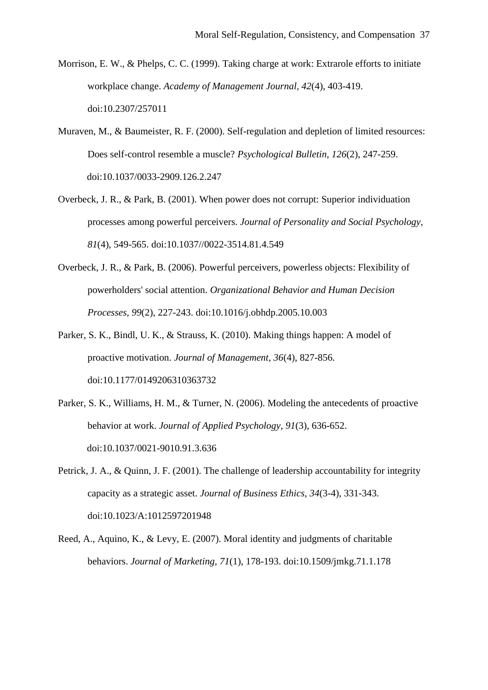- Morrison, E. W., & Phelps, C. C. (1999). Taking charge at work: Extrarole efforts to initiate workplace change. *Academy of Management Journal, 42*(4), 403-419. doi:10.2307/257011
- Muraven, M., & Baumeister, R. F. (2000). Self-regulation and depletion of limited resources: Does self-control resemble a muscle? *Psychological Bulletin, 126*(2), 247-259. doi:10.1037/0033-2909.126.2.247
- Overbeck, J. R., & Park, B. (2001). When power does not corrupt: Superior individuation processes among powerful perceivers. *Journal of Personality and Social Psychology, 81*(4), 549-565. doi:10.1037//0022-3514.81.4.549
- Overbeck, J. R., & Park, B. (2006). Powerful perceivers, powerless objects: Flexibility of powerholders' social attention. *Organizational Behavior and Human Decision Processes, 99*(2), 227-243. doi:10.1016/j.obhdp.2005.10.003
- Parker, S. K., Bindl, U. K., & Strauss, K. (2010). Making things happen: A model of proactive motivation. *Journal of Management, 36*(4), 827-856. doi:10.1177/0149206310363732
- Parker, S. K., Williams, H. M., & Turner, N. (2006). Modeling the antecedents of proactive behavior at work. *Journal of Applied Psychology, 91*(3), 636-652. doi:10.1037/0021-9010.91.3.636
- Petrick, J. A., & Quinn, J. F. (2001). The challenge of leadership accountability for integrity capacity as a strategic asset. *Journal of Business Ethics, 34*(3-4), 331-343. doi:10.1023/A:1012597201948
- Reed, A., Aquino, K., & Levy, E. (2007). Moral identity and judgments of charitable behaviors. *Journal of Marketing, 71*(1), 178-193. doi:10.1509/jmkg.71.1.178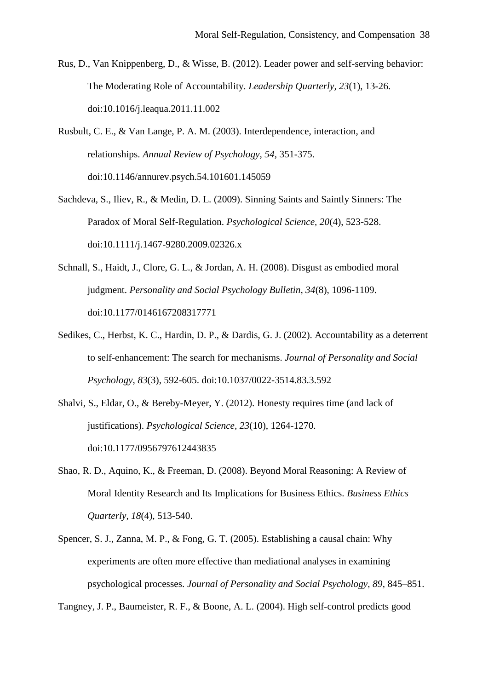- Rus, D., Van Knippenberg, D., & Wisse, B. (2012). Leader power and self-serving behavior: The Moderating Role of Accountability. *Leadership Quarterly, 23*(1), 13-26. doi:10.1016/j.leaqua.2011.11.002
- Rusbult, C. E., & Van Lange, P. A. M. (2003). Interdependence, interaction, and relationships. *Annual Review of Psychology, 54*, 351-375. doi:10.1146/annurev.psych.54.101601.145059
- Sachdeva, S., Iliev, R., & Medin, D. L. (2009). Sinning Saints and Saintly Sinners: The Paradox of Moral Self-Regulation. *Psychological Science, 20*(4), 523-528. doi:10.1111/j.1467-9280.2009.02326.x
- Schnall, S., Haidt, J., Clore, G. L., & Jordan, A. H. (2008). Disgust as embodied moral judgment. *Personality and Social Psychology Bulletin, 34*(8), 1096-1109. doi:10.1177/0146167208317771
- Sedikes, C., Herbst, K. C., Hardin, D. P., & Dardis, G. J. (2002). Accountability as a deterrent to self-enhancement: The search for mechanisms. *Journal of Personality and Social Psychology, 83*(3), 592-605. doi:10.1037/0022-3514.83.3.592
- Shalvi, S., Eldar, O., & Bereby-Meyer, Y. (2012). Honesty requires time (and lack of justifications). *Psychological Science, 23*(10), 1264-1270. doi:10.1177/0956797612443835
- Shao, R. D., Aquino, K., & Freeman, D. (2008). Beyond Moral Reasoning: A Review of Moral Identity Research and Its Implications for Business Ethics. *Business Ethics Quarterly, 18*(4), 513-540.
- Spencer, S. J., Zanna, M. P., & Fong, G. T. (2005). Establishing a causal chain: Why experiments are often more effective than mediational analyses in examining psychological processes. *Journal of Personality and Social Psychology, 89*, 845–851.

Tangney, J. P., Baumeister, R. F., & Boone, A. L. (2004). High self-control predicts good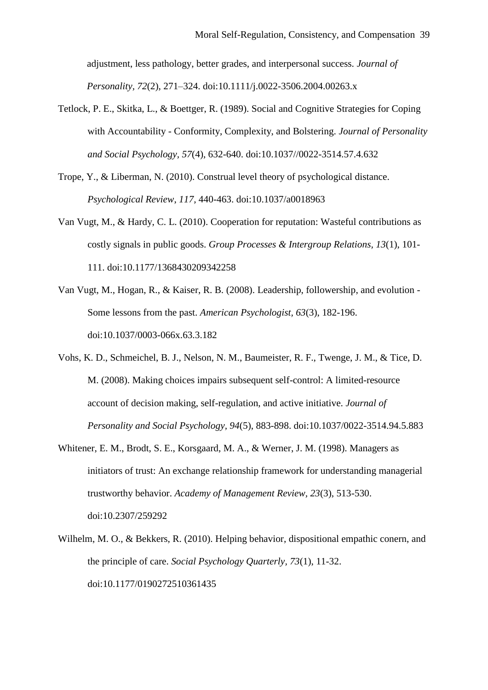adjustment, less pathology, better grades, and interpersonal success. *Journal of Personality, 72*(2), 271–324. doi:10.1111/j.0022-3506.2004.00263.x

- Tetlock, P. E., Skitka, L., & Boettger, R. (1989). Social and Cognitive Strategies for Coping with Accountability - Conformity, Complexity, and Bolstering. *Journal of Personality and Social Psychology, 57*(4), 632-640. doi:10.1037//0022-3514.57.4.632
- Trope, Y., & Liberman, N. (2010). Construal level theory of psychological distance. *Psychological Review*, *117,* 440-463. doi:10.1037/a0018963
- Van Vugt, M., & Hardy, C. L. (2010). Cooperation for reputation: Wasteful contributions as costly signals in public goods. *Group Processes & Intergroup Relations, 13*(1), 101- 111. doi:10.1177/1368430209342258
- Van Vugt, M., Hogan, R., & Kaiser, R. B. (2008). Leadership, followership, and evolution Some lessons from the past. *American Psychologist, 63*(3), 182-196. doi:10.1037/0003-066x.63.3.182
- Vohs, K. D., Schmeichel, B. J., Nelson, N. M., Baumeister, R. F., Twenge, J. M., & Tice, D. M. (2008). Making choices impairs subsequent self-control: A limited-resource account of decision making, self-regulation, and active initiative. *Journal of Personality and Social Psychology, 94*(5), 883-898. doi:10.1037/0022-3514.94.5.883
- Whitener, E. M., Brodt, S. E., Korsgaard, M. A., & Werner, J. M. (1998). Managers as initiators of trust: An exchange relationship framework for understanding managerial trustworthy behavior. *Academy of Management Review, 23*(3), 513-530. doi:10.2307/259292
- Wilhelm, M. O., & Bekkers, R. (2010). Helping behavior, dispositional empathic conern, and the principle of care. *Social Psychology Quarterly, 73*(1), 11-32. doi:10.1177/0190272510361435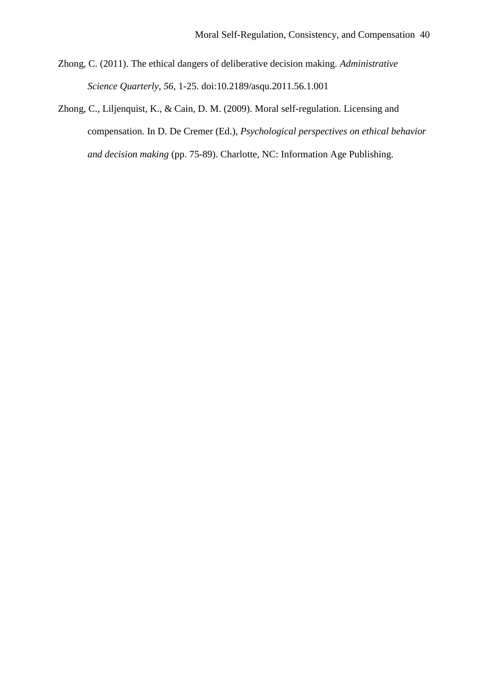- Zhong, C. (2011). The ethical dangers of deliberative decision making. *Administrative Science Quarterly, 56*, 1-25. doi:10.2189/asqu.2011.56.1.001
- Zhong, C., Liljenquist, K., & Cain, D. M. (2009). Moral self-regulation. Licensing and compensation. In D. De Cremer (Ed.), *Psychological perspectives on ethical behavior and decision making* (pp. 75-89). Charlotte, NC: Information Age Publishing.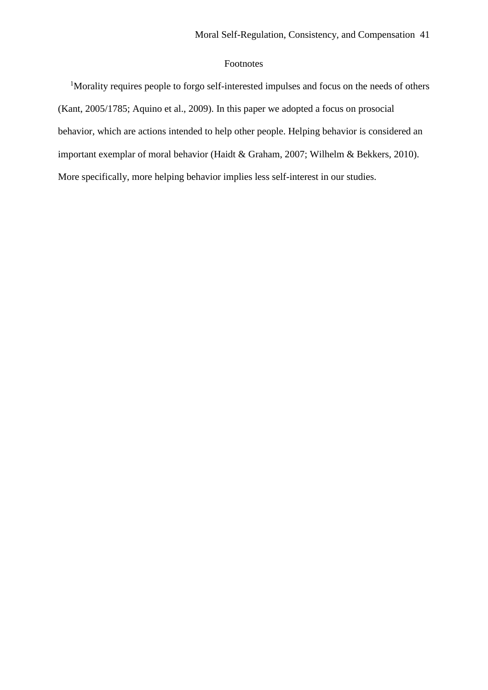## Footnotes

<sup>1</sup>Morality requires people to forgo self-interested impulses and focus on the needs of others (Kant, 2005/1785; Aquino et al., 2009). In this paper we adopted a focus on prosocial behavior, which are actions intended to help other people. Helping behavior is considered an important exemplar of moral behavior (Haidt & Graham, 2007; Wilhelm & Bekkers, 2010). More specifically, more helping behavior implies less self-interest in our studies.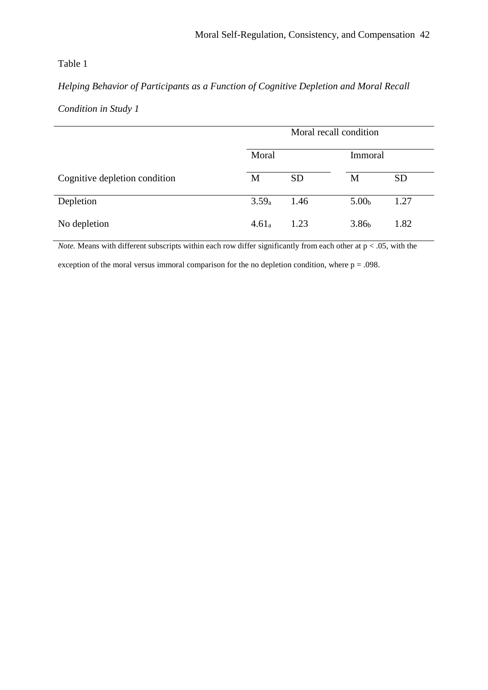## Table 1

# *Helping Behavior of Participants as a Function of Cognitive Depletion and Moral Recall*

# *Condition in Study 1*

|                               | Moral recall condition |           |                   |           |  |
|-------------------------------|------------------------|-----------|-------------------|-----------|--|
|                               | Moral                  |           | Immoral           |           |  |
| Cognitive depletion condition | M                      | <b>SD</b> | М                 | <b>SD</b> |  |
| Depletion                     | $3.59_a$               | 1.46      | 5.00 <sub>b</sub> | 1.27      |  |
| No depletion                  | 4.61 <sub>a</sub>      | 1.23      | 3.86 <sub>b</sub> | 1.82      |  |

*Note.* Means with different subscripts within each row differ significantly from each other at  $p < .05$ , with the

exception of the moral versus immoral comparison for the no depletion condition, where  $p = .098$ .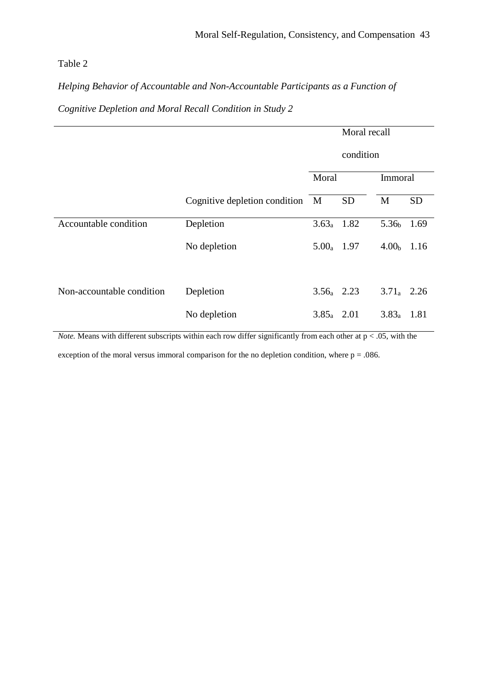## Table 2

*Helping Behavior of Accountable and Non-Accountable Participants as a Function of* 

*Cognitive Depletion and Moral Recall Condition in Study 2*

|                           |                                 | Moral recall  |           |                   |           |  |
|---------------------------|---------------------------------|---------------|-----------|-------------------|-----------|--|
|                           |                                 | condition     |           |                   |           |  |
|                           |                                 | Moral         |           |                   | Immoral   |  |
|                           | Cognitive depletion condition M |               | <b>SD</b> | M                 | <b>SD</b> |  |
| Accountable condition     | Depletion                       | $3.63a$ 1.82  |           | 5.36 <sub>b</sub> | 1.69      |  |
|                           | No depletion                    | $5.00_a$ 1.97 |           | 4.00 <sub>b</sub> | 1.16      |  |
| Non-accountable condition | Depletion                       | $3.56a$ 2.23  |           | $3.71_a$ 2.26     |           |  |
|                           | No depletion                    | $3.85_a$ 2.01 |           | $3.83_a$          | 1.81      |  |

*Note.* Means with different subscripts within each row differ significantly from each other at  $p < .05$ , with the

exception of the moral versus immoral comparison for the no depletion condition, where  $p = .086$ .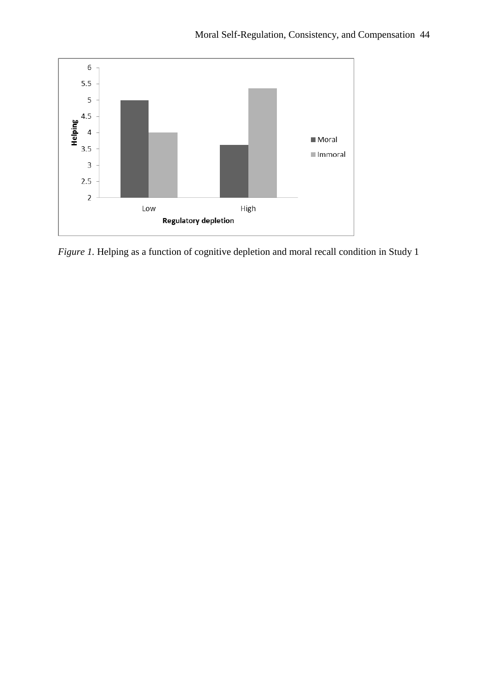

*Figure 1*. Helping as a function of cognitive depletion and moral recall condition in Study 1